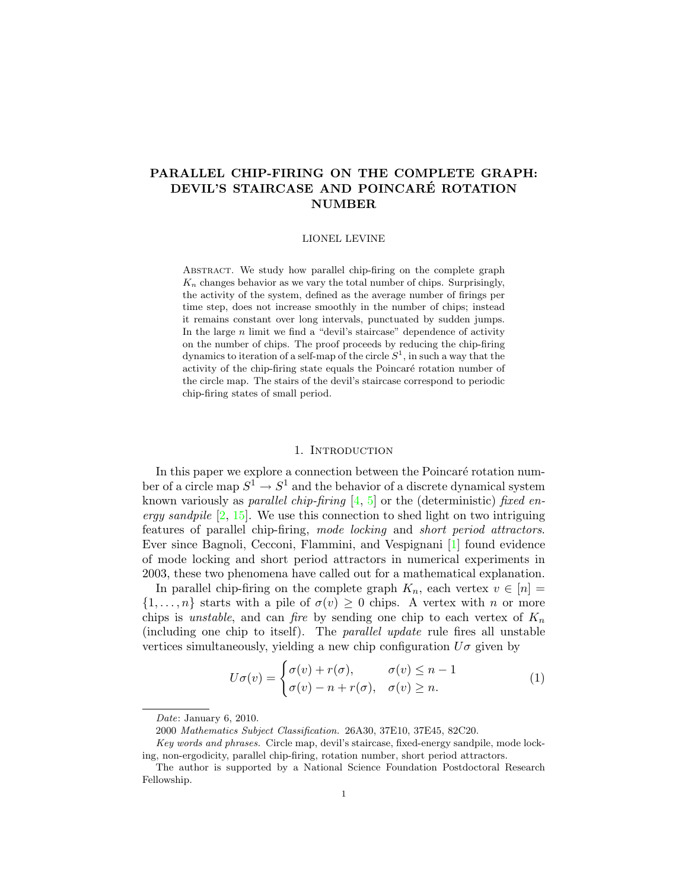# PARALLEL CHIP-FIRING ON THE COMPLETE GRAPH: DEVIL'S STAIRCASE AND POINCARÉ ROTATION NUMBER

#### LIONEL LEVINE

Abstract. We study how parallel chip-firing on the complete graph  $K_n$  changes behavior as we vary the total number of chips. Surprisingly, the activity of the system, defined as the average number of firings per time step, does not increase smoothly in the number of chips; instead it remains constant over long intervals, punctuated by sudden jumps. In the large  $n$  limit we find a "devil's staircase" dependence of activity on the number of chips. The proof proceeds by reducing the chip-firing dynamics to iteration of a self-map of the circle  $S^1$ , in such a way that the activity of the chip-firing state equals the Poincaré rotation number of the circle map. The stairs of the devil's staircase correspond to periodic chip-firing states of small period.

#### 1. INTRODUCTION

In this paper we explore a connection between the Poincaré rotation number of a circle map  $S^1 \to S^1$  and the behavior of a discrete dynamical system known variously as *parallel chip-firing* [\[4,](#page-20-0) [5\]](#page-20-1) or the (deterministic) fixed energy sandpile  $\left[2, 15\right]$  $\left[2, 15\right]$  $\left[2, 15\right]$ . We use this connection to shed light on two intriguing features of parallel chip-firing, mode locking and short period attractors. Ever since Bagnoli, Cecconi, Flammini, and Vespignani [\[1\]](#page-20-3) found evidence of mode locking and short period attractors in numerical experiments in 2003, these two phenomena have called out for a mathematical explanation.

In parallel chip-firing on the complete graph  $K_n$ , each vertex  $v \in [n]$  $\{1,\ldots,n\}$  starts with a pile of  $\sigma(v)\geq 0$  chips. A vertex with n or more chips is unstable, and can fire by sending one chip to each vertex of  $K_n$ (including one chip to itself). The parallel update rule fires all unstable vertices simultaneously, yielding a new chip configuration  $U\sigma$  given by

<span id="page-0-0"></span>
$$
U\sigma(v) = \begin{cases} \sigma(v) + r(\sigma), & \sigma(v) \le n - 1 \\ \sigma(v) - n + r(\sigma), & \sigma(v) \ge n. \end{cases}
$$
 (1)

Date: January 6, 2010.

<sup>2000</sup> Mathematics Subject Classification. 26A30, 37E10, 37E45, 82C20.

Key words and phrases. Circle map, devil's staircase, fixed-energy sandpile, mode locking, non-ergodicity, parallel chip-firing, rotation number, short period attractors.

The author is supported by a National Science Foundation Postdoctoral Research Fellowship.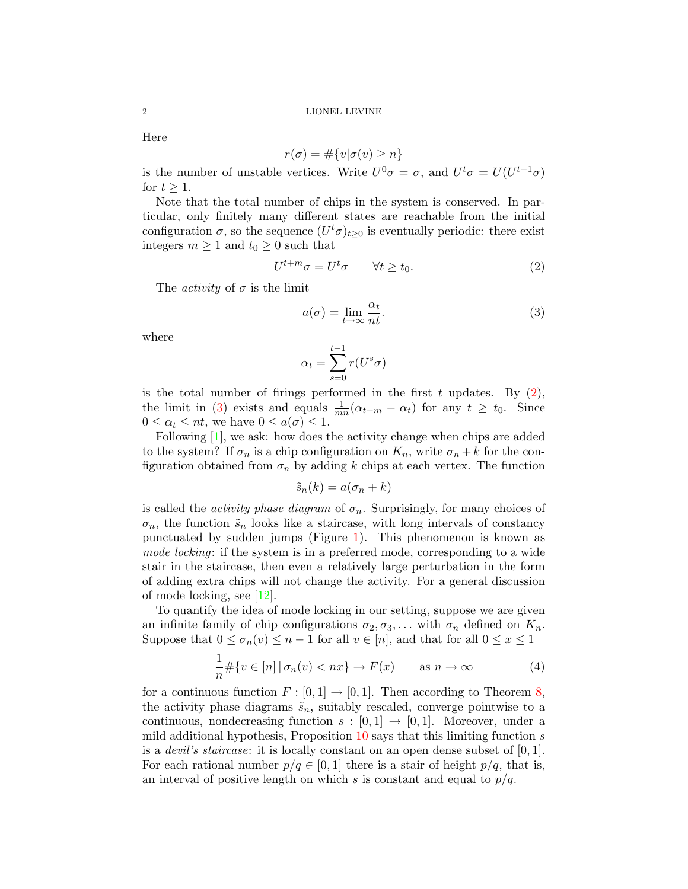Here

$$
r(\sigma) = \#\{v | \sigma(v) \ge n\}
$$

is the number of unstable vertices. Write  $U^0 \sigma = \sigma$ , and  $U^t \sigma = U(U^{t-1} \sigma)$ for  $t \geq 1$ .

Note that the total number of chips in the system is conserved. In particular, only finitely many different states are reachable from the initial configuration  $\sigma$ , so the sequence  $(U^t \sigma)_{t\geq 0}$  is eventually periodic: there exist integers  $m \geq 1$  and  $t_0 \geq 0$  such that

<span id="page-1-0"></span>
$$
U^{t+m}\sigma = U^t \sigma \qquad \forall t \ge t_0. \tag{2}
$$

The *activity* of  $\sigma$  is the limit

<span id="page-1-1"></span>
$$
a(\sigma) = \lim_{t \to \infty} \frac{\alpha_t}{nt}.
$$
\n(3)

where

$$
\alpha_t = \sum_{s=0}^{t-1} r(U^s \sigma)
$$

is the total number of firings performed in the first t updates. By  $(2)$ , the limit in [\(3\)](#page-1-1) exists and equals  $\frac{1}{mn}(\alpha_{t+m} - \alpha_t)$  for any  $t \geq t_0$ . Since  $0 \leq \alpha_t \leq nt$ , we have  $0 \leq a(\sigma) \leq 1$ .

Following [\[1\]](#page-20-3), we ask: how does the activity change when chips are added to the system? If  $\sigma_n$  is a chip configuration on  $K_n$ , write  $\sigma_n + k$  for the configuration obtained from  $\sigma_n$  by adding k chips at each vertex. The function

$$
\tilde{s}_n(k) = a(\sigma_n + k)
$$

is called the *activity phase diagram* of  $\sigma_n$ . Surprisingly, for many choices of  $\sigma_n$ , the function  $\tilde{s}_n$  looks like a staircase, with long intervals of constancy punctuated by sudden jumps (Figure [1\)](#page-2-0). This phenomenon is known as mode locking: if the system is in a preferred mode, corresponding to a wide stair in the staircase, then even a relatively large perturbation in the form of adding extra chips will not change the activity. For a general discussion of mode locking, see [\[12\]](#page-21-1).

To quantify the idea of mode locking in our setting, suppose we are given an infinite family of chip configurations  $\sigma_2, \sigma_3, \ldots$  with  $\sigma_n$  defined on  $K_n$ . Suppose that  $0 \leq \sigma_n(v) \leq n-1$  for all  $v \in [n]$ , and that for all  $0 \leq x \leq 1$ 

<span id="page-1-2"></span>
$$
\frac{1}{n} \# \{ v \in [n] \mid \sigma_n(v) < nx \} \to F(x) \qquad \text{as } n \to \infty \tag{4}
$$

for a continuous function  $F : [0,1] \to [0,1]$ . Then according to Theorem [8,](#page-10-0) the activity phase diagrams  $\tilde{s}_n$ , suitably rescaled, converge pointwise to a continuous, nondecreasing function  $s : [0,1] \rightarrow [0,1]$ . Moreover, under a mild additional hypothesis, Proposition  $10$  says that this limiting function s is a *devil's staircase*: it is locally constant on an open dense subset of  $[0, 1]$ . For each rational number  $p/q \in [0, 1]$  there is a stair of height  $p/q$ , that is, an interval of positive length on which s is constant and equal to  $p/q$ .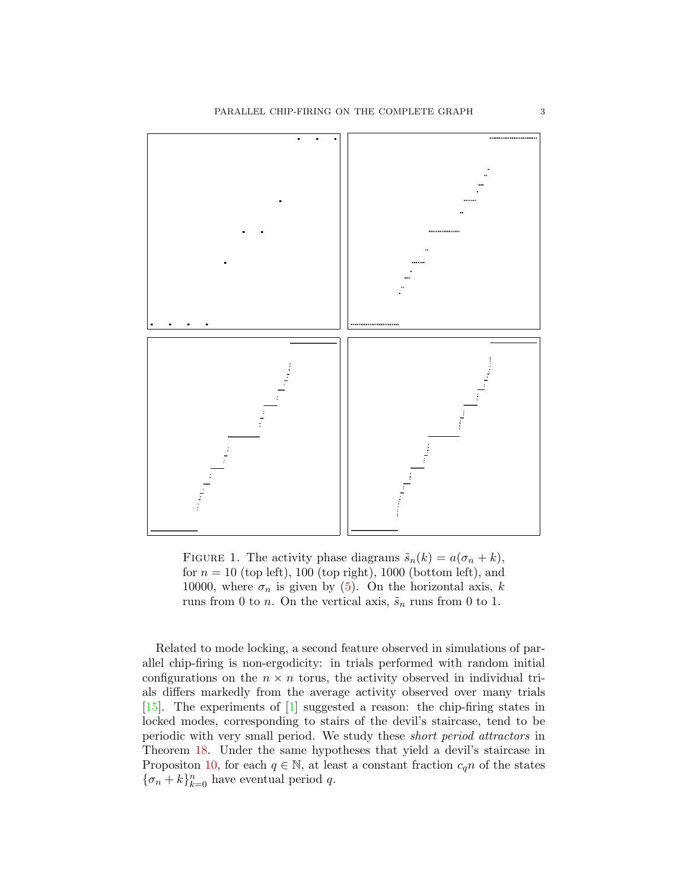

<span id="page-2-0"></span>FIGURE 1. The activity phase diagrams  $\tilde{s}_n(k) = a(\sigma_n + k)$ , for  $n = 10$  (top left), 100 (top right), 1000 (bottom left), and 10000, where  $\sigma_n$  is given by [\(5\)](#page-3-0). On the horizontal axis, k runs from 0 to *n*. On the vertical axis,  $\tilde{s}_n$  runs from 0 to 1.

Related to mode locking, a second feature observed in simulations of parallel chip-firing is non-ergodicity: in trials performed with random initial configurations on the  $n \times n$  torus, the activity observed in individual trials differs markedly from the average activity observed over many trials [\[15\]](#page-21-0). The experiments of [\[1\]](#page-20-3) suggested a reason: the chip-firing states in locked modes, corresponding to stairs of the devil's staircase, tend to be periodic with very small period. We study these short period attractors in Theorem [18.](#page-17-0) Under the same hypotheses that yield a devil's staircase in Propositon [10,](#page-12-0) for each  $q \in \mathbb{N}$ , at least a constant fraction  $c_q n$  of the states  ${\lbrace \sigma_n+k \rbrace_{k=0}^n}$  have eventual period q.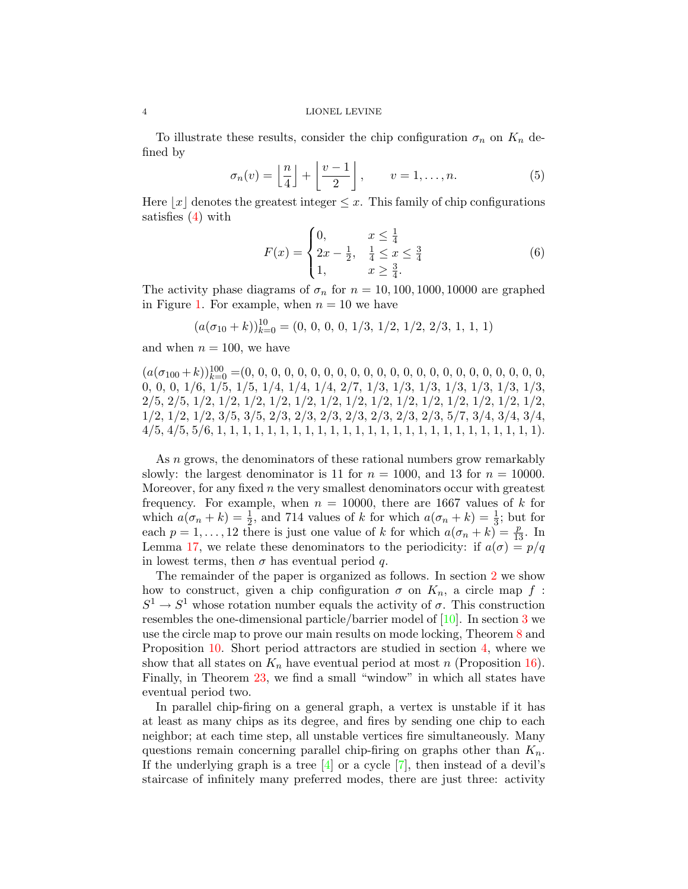#### 4 LIONEL LEVINE

To illustrate these results, consider the chip configuration  $\sigma_n$  on  $K_n$  defined by

<span id="page-3-0"></span>
$$
\sigma_n(v) = \left\lfloor \frac{n}{4} \right\rfloor + \left\lfloor \frac{v-1}{2} \right\rfloor, \qquad v = 1, \dots, n. \tag{5}
$$

Here  $|x|$  denotes the greatest integer  $\leq x$ . This family of chip configurations satisfies [\(4\)](#page-1-2) with

<span id="page-3-1"></span>
$$
F(x) = \begin{cases} 0, & x \le \frac{1}{4} \\ 2x - \frac{1}{2}, & \frac{1}{4} \le x \le \frac{3}{4} \\ 1, & x \ge \frac{3}{4}. \end{cases}
$$
(6)

The activity phase diagrams of  $\sigma_n$  for  $n = 10, 100, 1000, 10000$  are graphed in Figure [1.](#page-2-0) For example, when  $n = 10$  we have

$$
(a(\sigma_{10}+k))_{k=0}^{10}=(0, 0, 0, 0, 1/3, 1/2, 1/2, 2/3, 1, 1, 1)
$$

and when  $n = 100$ , we have

(a(σ<sup>100</sup> +k))<sup>100</sup> <sup>k</sup>=0 =(0, 0, 0, 0, 0, 0, 0, 0, 0, 0, 0, 0, 0, 0, 0, 0, 0, 0, 0, 0, 0, 0, 0, 0, 0, 0, 1/6, 1/5, 1/5, 1/4, 1/4, 1/4, 2/7, 1/3, 1/3, 1/3, 1/3, 1/3, 1/3, 1/3, 2/5, 2/5, 1/2, 1/2, 1/2, 1/2, 1/2, 1/2, 1/2, 1/2, 1/2, 1/2, 1/2, 1/2, 1/2, 1/2, 1/2, 1/2, 1/2, 3/5, 3/5, 2/3, 2/3, 2/3, 2/3, 2/3, 2/3, 2/3, 5/7, 3/4, 3/4, 3/4, 4/5, 4/5, 5/6, 1, 1, 1, 1, 1, 1, 1, 1, 1, 1, 1, 1, 1, 1, 1, 1, 1, 1, 1, 1, 1, 1, 1, 1, 1, 1).

As *n* grows, the denominators of these rational numbers grow remarkably slowly: the largest denominator is 11 for  $n = 1000$ , and 13 for  $n = 10000$ . Moreover, for any fixed  $n$  the very smallest denominators occur with greatest frequency. For example, when  $n = 10000$ , there are 1667 values of k for which  $a(\sigma_n + k) = \frac{1}{2}$ , and 714 values of k for which  $a(\sigma_n + k) = \frac{1}{3}$ ; but for each  $p = 1, ..., 12$  there is just one value of k for which  $a(\sigma_n + k) = \frac{p}{13}$ . In Lemma [17,](#page-16-0) we relate these denominators to the periodicity: if  $a(\sigma) = p/q$ in lowest terms, then  $\sigma$  has eventual period q.

The remainder of the paper is organized as follows. In section [2](#page-4-0) we show how to construct, given a chip configuration  $\sigma$  on  $K_n$ , a circle map f:  $S^1 \to S^1$  whose rotation number equals the activity of  $\sigma$ . This construction resembles the one-dimensional particle/barrier model of [\[10\]](#page-20-4). In section [3](#page-10-1) we use the circle map to prove our main results on mode locking, Theorem [8](#page-10-0) and Proposition [10.](#page-12-0) Short period attractors are studied in section [4,](#page-13-0) where we show that all states on  $K_n$  have eventual period at most n (Proposition [16\)](#page-15-0). Finally, in Theorem [23,](#page-19-0) we find a small "window" in which all states have eventual period two.

In parallel chip-firing on a general graph, a vertex is unstable if it has at least as many chips as its degree, and fires by sending one chip to each neighbor; at each time step, all unstable vertices fire simultaneously. Many questions remain concerning parallel chip-firing on graphs other than  $K_n$ . If the underlying graph is a tree  $[4]$  or a cycle  $[7]$ , then instead of a devil's staircase of infinitely many preferred modes, there are just three: activity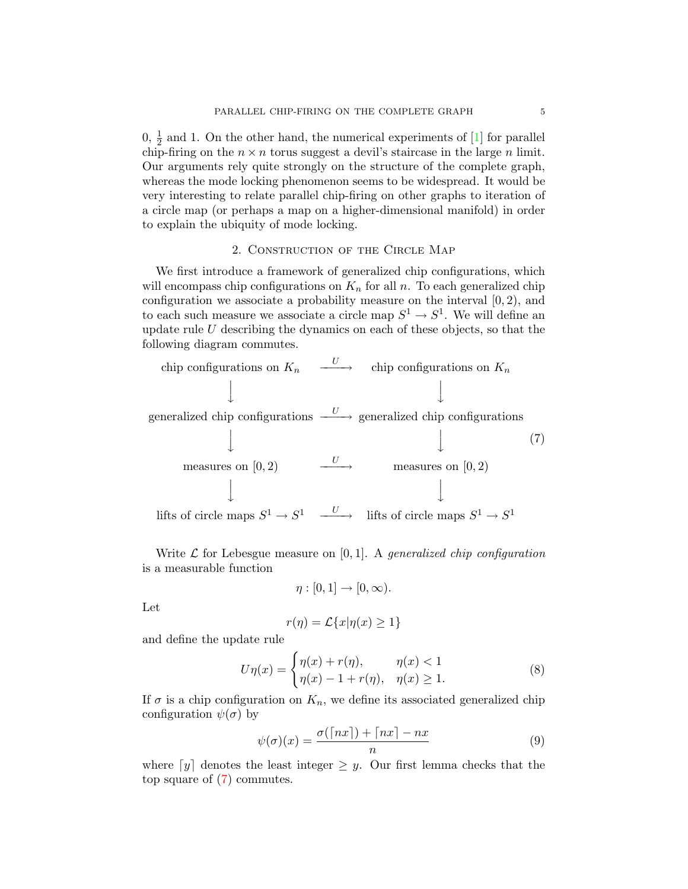$0, \frac{1}{2}$  and 1. On the other hand, the numerical experiments of [\[1\]](#page-20-3) for parallel chip-firing on the  $n \times n$  torus suggest a devil's staircase in the large n limit. Our arguments rely quite strongly on the structure of the complete graph, whereas the mode locking phenomenon seems to be widespread. It would be very interesting to relate parallel chip-firing on other graphs to iteration of a circle map (or perhaps a map on a higher-dimensional manifold) in order to explain the ubiquity of mode locking.

## 2. Construction of the Circle Map

<span id="page-4-0"></span>We first introduce a framework of generalized chip configurations, which will encompass chip configurations on  $K_n$  for all n. To each generalized chip configuration we associate a probability measure on the interval  $[0, 2)$ , and to each such measure we associate a circle map  $S^1 \to S^1$ . We will define an update rule  $U$  describing the dynamics on each of these objects, so that the following diagram commutes.

<span id="page-4-1"></span>chip configurations on 
$$
K_n
$$
 →   
\n $\downarrow$    
\ngeneralized chip configurations → generalized chip configurations  
\n $\downarrow$    
\n $\downarrow$    
\n $\downarrow$    
\n $\downarrow$    
\n $\downarrow$  (7)  
\n $\downarrow$    
\n $\downarrow$  (7)  
\n $\downarrow$    
\n $\downarrow$  (7)  
\n $\downarrow$    
\n $\downarrow$  (7)  
\n $\downarrow$    
\n $\downarrow$  (7)  
\n $\downarrow$    
\n $\downarrow$  (8)  
\n $\downarrow$    
\n $\downarrow$  (9)  
\n $\downarrow$    
\n $\downarrow$  (1)  
\n $\downarrow$    
\n $\downarrow$  (2)  
\n $\downarrow$    
\n $\downarrow$    
\n $\downarrow$    
\n $\downarrow$    
\n $\downarrow$    
\n $\downarrow$    
\n $\downarrow$    
\n $\downarrow$    
\n $\downarrow$    
\n $\downarrow$    
\n $\downarrow$    
\n $\downarrow$    
\n $\downarrow$    
\n $\downarrow$    
\n $\downarrow$    
\n $\downarrow$    
\n $\downarrow$    
\n $\downarrow$    
\n $\downarrow$    
\n $\downarrow$    
\n $\downarrow$    
\n $\downarrow$    
\n $\downarrow$    
\n $\downarrow$    
\n $\downarrow$    
\n $\downarrow$    
\n $\downarrow$    
\n $\downarrow$    
\n $\downarrow$    
\n $\downarrow$    
\n $\downarrow$    
\n $\downarrow$    
\n $\downarrow$    
\n $\downarrow$    
\n $\downarrow$    
\n $\downarrow$    
\n $\downarrow$    
\n $\downarrow$  

Write  $\mathcal L$  for Lebesgue measure on [0, 1]. A generalized chip configuration is a measurable function

$$
\eta:[0,1]\to[0,\infty).
$$

Let

$$
r(\eta) = \mathcal{L}\{x|\eta(x) \ge 1\}
$$

and define the update rule

<span id="page-4-4"></span>
$$
U\eta(x) = \begin{cases} \eta(x) + r(\eta), & \eta(x) < 1\\ \eta(x) - 1 + r(\eta), & \eta(x) \ge 1. \end{cases}
$$
 (8)

If  $\sigma$  is a chip configuration on  $K_n$ , we define its associated generalized chip configuration  $\psi(\sigma)$  by

<span id="page-4-3"></span>
$$
\psi(\sigma)(x) = \frac{\sigma(\lceil nx \rceil) + \lceil nx \rceil - nx}{n} \tag{9}
$$

<span id="page-4-2"></span>where  $[y]$  denotes the least integer  $\geq y$ . Our first lemma checks that the top square of [\(7\)](#page-4-1) commutes.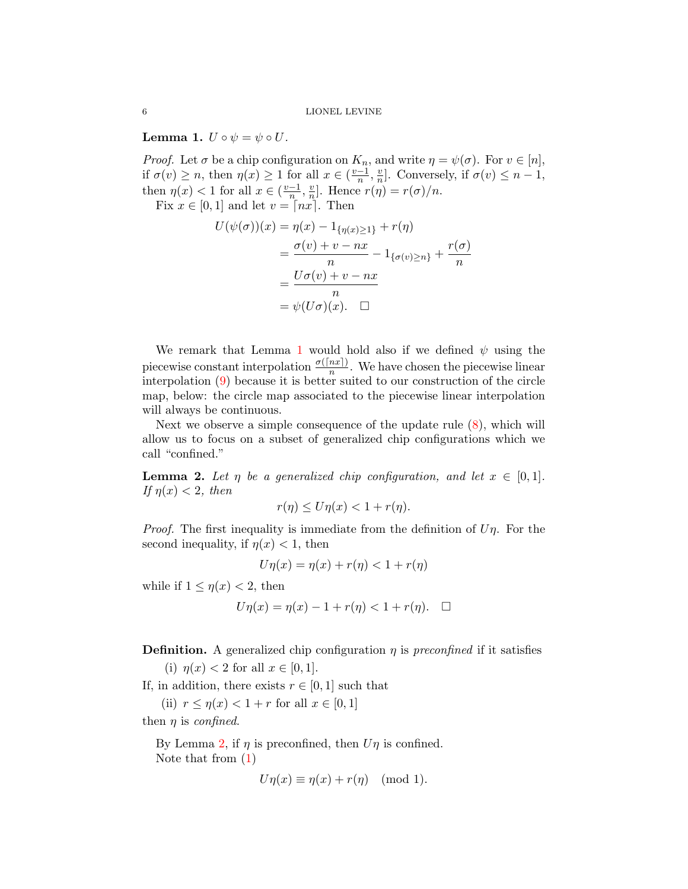**Lemma 1.**  $U \circ \psi = \psi \circ U$ .

*Proof.* Let  $\sigma$  be a chip configuration on  $K_n$ , and write  $\eta = \psi(\sigma)$ . For  $v \in [n]$ , if  $\sigma(v) \geq n$ , then  $\eta(x) \geq 1$  for all  $x \in (\frac{v-1}{n})$  $\frac{-1}{n}, \frac{v}{n}$  $\frac{v}{n}$ ]. Conversely, if  $\sigma(v) \leq n-1$ , then  $\eta(x)$  < 1 for all  $x \in (\frac{v-1}{n})$  $\frac{-1}{n}$ ,  $\frac{v}{n}$  $\frac{v}{n}$ . Hence  $r(\eta) = r(\sigma)/n$ .

Fix  $x \in [0,1]$  and let  $v = \lceil nx \rceil$ . Then

$$
U(\psi(\sigma))(x) = \eta(x) - 1_{\{\eta(x)\geq 1\}} + r(\eta)
$$
  
= 
$$
\frac{\sigma(v) + v - nx}{n} - 1_{\{\sigma(v)\geq n\}} + \frac{r(\sigma)}{n}
$$
  
= 
$$
\frac{U\sigma(v) + v - nx}{n}
$$
  
= 
$$
\psi(U\sigma)(x). \quad \Box
$$

We remark that Lemma [1](#page-4-2) would hold also if we defined  $\psi$  using the piecewise constant interpolation  $\frac{\sigma(\lceil nx \rceil)}{n}$ . We have chosen the piecewise linear interpolation [\(9\)](#page-4-3) because it is better suited to our construction of the circle map, below: the circle map associated to the piecewise linear interpolation will always be continuous.

Next we observe a simple consequence of the update rule  $(8)$ , which will allow us to focus on a subset of generalized chip configurations which we call "confined."

<span id="page-5-0"></span>**Lemma 2.** Let  $\eta$  be a generalized chip configuration, and let  $x \in [0,1]$ . If  $\eta(x) < 2$ , then

$$
r(\eta) \le U\eta(x) < 1 + r(\eta).
$$

*Proof.* The first inequality is immediate from the definition of  $U\eta$ . For the second inequality, if  $\eta(x) < 1$ , then

$$
U\eta(x) = \eta(x) + r(\eta) < 1 + r(\eta)
$$

while if  $1 \leq \eta(x) < 2$ , then

$$
U\eta(x) = \eta(x) - 1 + r(\eta) < 1 + r(\eta). \quad \Box
$$

**Definition.** A generalized chip configuration  $\eta$  is preconfined if it satisfies

(i)  $\eta(x) < 2$  for all  $x \in [0, 1]$ .

If, in addition, there exists  $r \in [0, 1]$  such that

(ii)  $r \leq \eta(x) < 1 + r$  for all  $x \in [0, 1]$ 

then  $\eta$  is *confined.* 

By Lemma [2,](#page-5-0) if  $\eta$  is preconfined, then  $U\eta$  is confined. Note that from [\(1\)](#page-0-0)

$$
U\eta(x) \equiv \eta(x) + r(\eta) \pmod{1}.
$$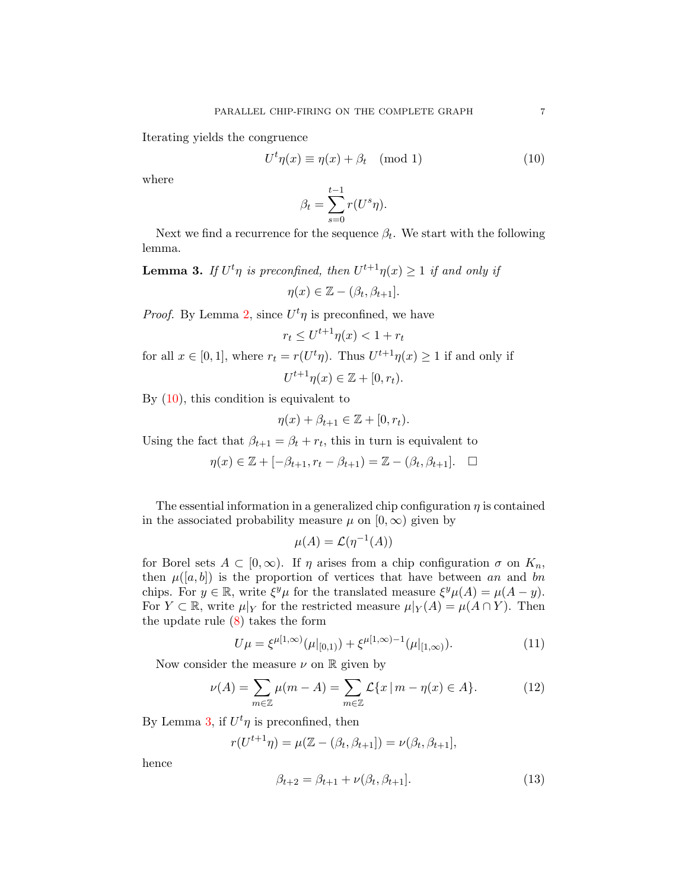Iterating yields the congruence

<span id="page-6-0"></span>
$$
U^t \eta(x) \equiv \eta(x) + \beta_t \pmod{1} \tag{10}
$$

where

$$
\beta_t = \sum_{s=0}^{t-1} r(U^s \eta).
$$

Next we find a recurrence for the sequence  $\beta_t$ . We start with the following lemma.

<span id="page-6-1"></span>**Lemma 3.** If  $U^t\eta$  is preconfined, then  $U^{t+1}\eta(x) \geq 1$  if and only if  $\eta(x) \in \mathbb{Z} - (\beta_t, \beta_{t+1}].$ 

*Proof.* By Lemma [2,](#page-5-0) since  $U^t\eta$  is preconfined, we have

$$
r_t \le U^{t+1}\eta(x) < 1 + r_t
$$

for all  $x \in [0,1]$ , where  $r_t = r(U^t \eta)$ . Thus  $U^{t+1} \eta(x) \ge 1$  if and only if  $U^{t+1}\eta(x) \in \mathbb{Z} + [0, r_t).$ 

By  $(10)$ , this condition is equivalent to

$$
\eta(x) + \beta_{t+1} \in \mathbb{Z} + [0, r_t).
$$

Using the fact that  $\beta_{t+1} = \beta_t + r_t$ , this in turn is equivalent to

$$
\eta(x) \in \mathbb{Z} + [-\beta_{t+1}, r_t - \beta_{t+1}) = \mathbb{Z} - (\beta_t, \beta_{t+1}]. \quad \Box
$$

The essential information in a generalized chip configuration  $\eta$  is contained in the associated probability measure  $\mu$  on  $[0, \infty)$  given by

$$
\mu(A) = \mathcal{L}(\eta^{-1}(A))
$$

for Borel sets  $A \subset [0,\infty)$ . If  $\eta$  arises from a chip configuration  $\sigma$  on  $K_n$ , then  $\mu([a, b])$  is the proportion of vertices that have between an and bn chips. For  $y \in \mathbb{R}$ , write  $\xi^y \mu$  for the translated measure  $\xi^y \mu(A) = \mu(A - y)$ . For  $Y \subset \mathbb{R}$ , write  $\mu|_Y$  for the restricted measure  $\mu|_Y(A) = \mu(A \cap Y)$ . Then the update rule [\(8\)](#page-4-4) takes the form

<span id="page-6-4"></span>
$$
U\mu = \xi^{\mu[1,\infty)}(\mu|_{[0,1)}) + \xi^{\mu[1,\infty)-1}(\mu|_{[1,\infty)}).
$$
\n(11)

Now consider the measure  $\nu$  on  $\mathbb R$  given by

<span id="page-6-2"></span>
$$
\nu(A) = \sum_{m \in \mathbb{Z}} \mu(m - A) = \sum_{m \in \mathbb{Z}} \mathcal{L}\{x \mid m - \eta(x) \in A\}.
$$
 (12)

By Lemma [3,](#page-6-1) if  $U^t\eta$  is preconfined, then

$$
r(U^{t+1}\eta) = \mu(\mathbb{Z} - (\beta_t, \beta_{t+1}]) = \nu(\beta_t, \beta_{t+1}],
$$

hence

<span id="page-6-3"></span>
$$
\beta_{t+2} = \beta_{t+1} + \nu(\beta_t, \beta_{t+1}].
$$
\n(13)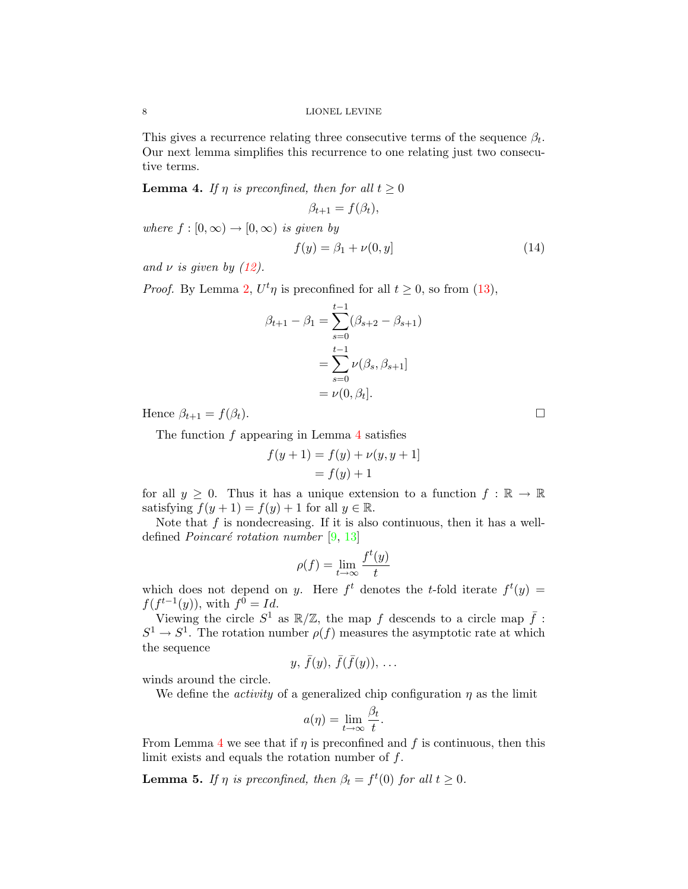This gives a recurrence relating three consecutive terms of the sequence  $\beta_t$ . Our next lemma simplifies this recurrence to one relating just two consecutive terms.

<span id="page-7-0"></span>**Lemma 4.** If  $\eta$  is preconfined, then for all  $t \geq 0$  $\beta_{t+1} = f(\beta_t),$ 

where  $f : [0, \infty) \to [0, \infty)$  is given by

$$
f(y) = \beta_1 + \nu(0, y] \tag{14}
$$

and  $\nu$  is given by [\(12\)](#page-6-2).

*Proof.* By Lemma [2,](#page-5-0)  $U^t \eta$  is preconfined for all  $t \geq 0$ , so from [\(13\)](#page-6-3),

$$
\beta_{t+1} - \beta_1 = \sum_{s=0}^{t-1} (\beta_{s+2} - \beta_{s+1})
$$

$$
= \sum_{s=0}^{t-1} \nu(\beta_s, \beta_{s+1}]
$$

$$
= \nu(0, \beta_t].
$$

Hence  $\beta_{t+1} = f(\beta_t)$ .

The function f appearing in Lemma [4](#page-7-0) satisfies

$$
f(y + 1) = f(y) + \nu(y, y + 1]
$$
  
= f(y) + 1

for all  $y \geq 0$ . Thus it has a unique extension to a function  $f : \mathbb{R} \to \mathbb{R}$ satisfying  $f(y + 1) = f(y) + 1$  for all  $y \in \mathbb{R}$ .

Note that  $f$  is nondecreasing. If it is also continuous, then it has a welldefined *Poincaré rotation number* [\[9,](#page-20-6) [13\]](#page-21-2)

$$
\rho(f) = \lim_{t \to \infty} \frac{f^t(y)}{t}
$$

which does not depend on y. Here  $f^t$  denotes the t-fold iterate  $f^t(y)$  =  $f(f^{t-1}(y))$ , with  $f^0 = Id$ .

Viewing the circle  $S^1$  as  $\mathbb{R}/\mathbb{Z}$ , the map f descends to a circle map  $\bar{f}$ :  $S^1 \to S^1$ . The rotation number  $\rho(f)$  measures the asymptotic rate at which the sequence

$$
y, \overline{f}(y), \overline{f}(\overline{f}(y)), \ldots
$$

winds around the circle.

We define the *activity* of a generalized chip configuration  $\eta$  as the limit

$$
a(\eta) = \lim_{t \to \infty} \frac{\beta_t}{t}.
$$

From Lemma [4](#page-7-0) we see that if  $\eta$  is preconfined and f is continuous, then this limit exists and equals the rotation number of  $f$ .

<span id="page-7-1"></span>**Lemma 5.** If  $\eta$  is preconfined, then  $\beta_t = f^t(0)$  for all  $t \geq 0$ .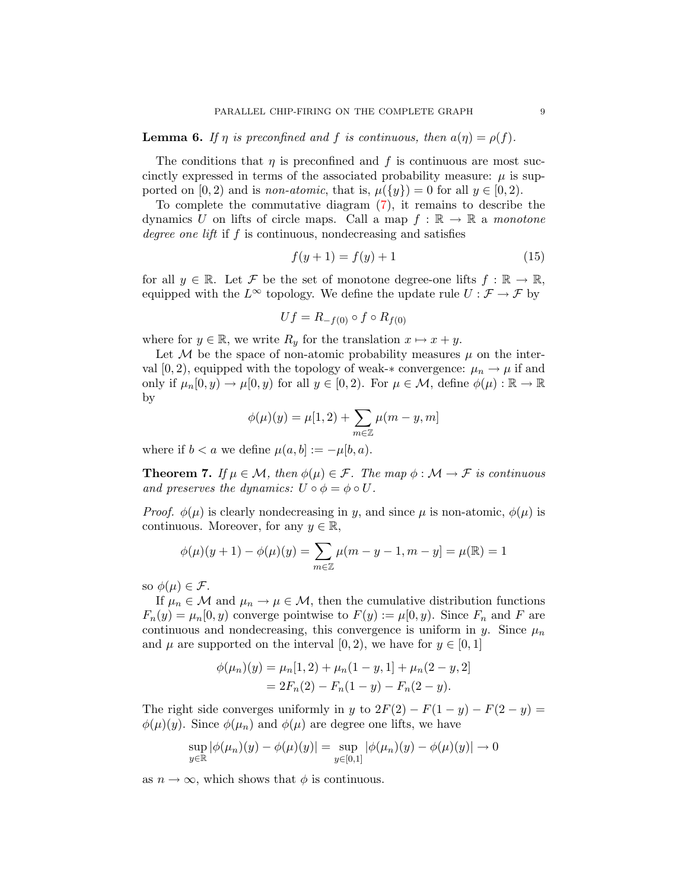<span id="page-8-2"></span>**Lemma 6.** If  $\eta$  is preconfined and f is continuous, then  $a(\eta) = \rho(f)$ .

The conditions that  $\eta$  is preconfined and f is continuous are most succinctly expressed in terms of the associated probability measure:  $\mu$  is supported on [0, 2) and is *non-atomic*, that is,  $\mu({y}) = 0$  for all  $y \in [0, 2)$ .

To complete the commutative diagram [\(7\)](#page-4-1), it remains to describe the dynamics U on lifts of circle maps. Call a map  $f : \mathbb{R} \to \mathbb{R}$  a monotone degree one lift if f is continuous, nondecreasing and satisfies

<span id="page-8-0"></span>
$$
f(y+1) = f(y) + 1 \tag{15}
$$

for all  $y \in \mathbb{R}$ . Let F be the set of monotone degree-one lifts  $f : \mathbb{R} \to \mathbb{R}$ , equipped with the  $L^{\infty}$  topology. We define the update rule  $U : \mathcal{F} \to \mathcal{F}$  by

$$
Uf = R_{-f(0)} \circ f \circ R_{f(0)}
$$

where for  $y \in \mathbb{R}$ , we write  $R_y$  for the translation  $x \mapsto x + y$ .

Let M be the space of non-atomic probability measures  $\mu$  on the interval [0, 2), equipped with the topology of weak- $*$  convergence:  $\mu_n \to \mu$  if and only if  $\mu_n[0, y) \to \mu[0, y)$  for all  $y \in [0, 2)$ . For  $\mu \in \mathcal{M}$ , define  $\phi(\mu): \mathbb{R} \to \mathbb{R}$ by

$$
\phi(\mu)(y) = \mu[1, 2) + \sum_{m \in \mathbb{Z}} \mu(m - y, m]
$$

where if  $b < a$  we define  $\mu(a, b) := -\mu(b, a)$ .

<span id="page-8-1"></span>**Theorem 7.** If  $\mu \in \mathcal{M}$ , then  $\phi(\mu) \in \mathcal{F}$ . The map  $\phi : \mathcal{M} \to \mathcal{F}$  is continuous and preserves the dynamics:  $U \circ \phi = \phi \circ U$ .

*Proof.*  $\phi(\mu)$  is clearly nondecreasing in y, and since  $\mu$  is non-atomic,  $\phi(\mu)$  is continuous. Moreover, for any  $y \in \mathbb{R}$ ,

$$
\phi(\mu)(y+1) - \phi(\mu)(y) = \sum_{m \in \mathbb{Z}} \mu(m - y - 1, m - y) = \mu(\mathbb{R}) = 1
$$

so  $\phi(\mu) \in \mathcal{F}$ .

If  $\mu_n \in \mathcal{M}$  and  $\mu_n \to \mu \in \mathcal{M}$ , then the cumulative distribution functions  $F_n(y) = \mu_n(0, y)$  converge pointwise to  $F(y) := \mu(0, y)$ . Since  $F_n$  and F are continuous and nondecreasing, this convergence is uniform in y. Since  $\mu_n$ and  $\mu$  are supported on the interval [0, 2], we have for  $y \in [0, 1]$ 

$$
\phi(\mu_n)(y) = \mu_n[1,2) + \mu_n(1-y,1] + \mu_n(2-y,2]
$$
  
=  $2F_n(2) - F_n(1-y) - F_n(2-y)$ .

The right side converges uniformly in y to  $2F(2) - F(1 - y) - F(2 - y) =$  $\phi(\mu)(y)$ . Since  $\phi(\mu_n)$  and  $\phi(\mu)$  are degree one lifts, we have

$$
\sup_{y \in \mathbb{R}} |\phi(\mu_n)(y) - \phi(\mu)(y)| = \sup_{y \in [0,1]} |\phi(\mu_n)(y) - \phi(\mu)(y)| \to 0
$$

as  $n \to \infty$ , which shows that  $\phi$  is continuous.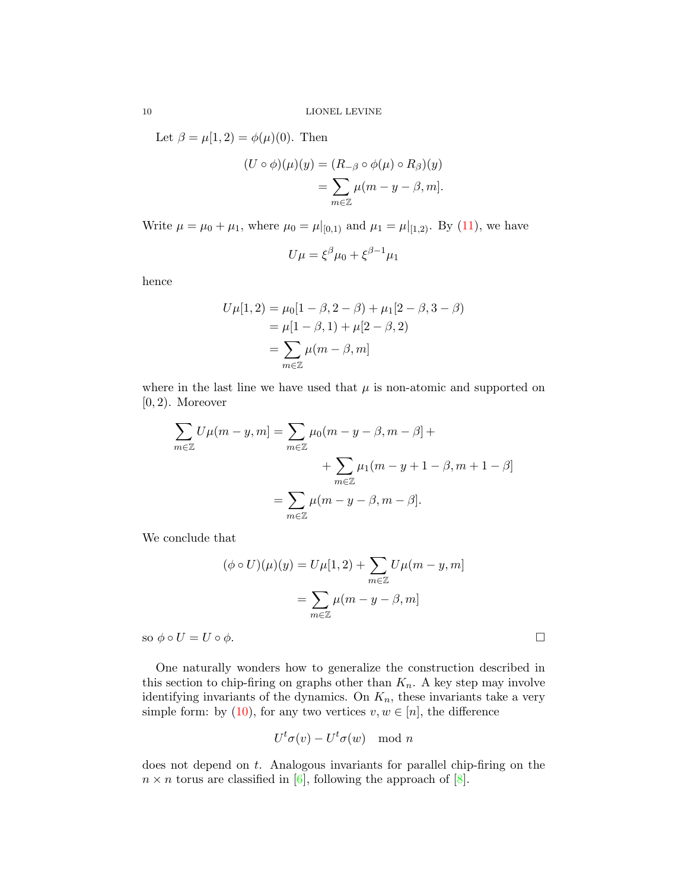Let  $\beta = \mu[1, 2) = \phi(\mu)(0)$ . Then

$$
(U \circ \phi)(\mu)(y) = (R_{-\beta} \circ \phi(\mu) \circ R_{\beta})(y)
$$

$$
= \sum_{m \in \mathbb{Z}} \mu(m - y - \beta, m].
$$

Write  $\mu = \mu_0 + \mu_1$ , where  $\mu_0 = \mu|_{[0,1)}$  and  $\mu_1 = \mu|_{[1,2)}$ . By [\(11\)](#page-6-4), we have

$$
U\mu = \xi^{\beta}\mu_0 + \xi^{\beta - 1}\mu_1
$$

hence

$$
U\mu[1,2) = \mu_0[1-\beta, 2-\beta) + \mu_1[2-\beta, 3-\beta]
$$
  
=  $\mu[1-\beta, 1) + \mu[2-\beta, 2]$   
=  $\sum_{m \in \mathbb{Z}} \mu(m-\beta, m]$ 

where in the last line we have used that  $\mu$  is non-atomic and supported on  $[0, 2)$ . Moreover

$$
\sum_{m \in \mathbb{Z}} U\mu(m - y, m] = \sum_{m \in \mathbb{Z}} \mu_0(m - y - \beta, m - \beta] +
$$
  
+ 
$$
\sum_{m \in \mathbb{Z}} \mu_1(m - y + 1 - \beta, m + 1 - \beta]
$$
  
= 
$$
\sum_{m \in \mathbb{Z}} \mu(m - y - \beta, m - \beta].
$$

We conclude that

$$
(\phi \circ U)(\mu)(y) = U\mu[1,2) + \sum_{m \in \mathbb{Z}} U\mu(m-y,m]
$$

$$
= \sum_{m \in \mathbb{Z}} \mu(m-y-\beta,m]
$$
so  $\phi \circ U = U \circ \phi$ .

One naturally wonders how to generalize the construction described in this section to chip-firing on graphs other than  $K_n$ . A key step may involve identifying invariants of the dynamics. On  $K_n$ , these invariants take a very simple form: by [\(10\)](#page-6-0), for any two vertices  $v, w \in [n]$ , the difference

$$
U^t \sigma(v) - U^t \sigma(w) \mod n
$$

does not depend on  $t$ . Analogous invariants for parallel chip-firing on the  $n \times n$  torus are classified in [\[6\]](#page-20-7), following the approach of [\[8\]](#page-20-8).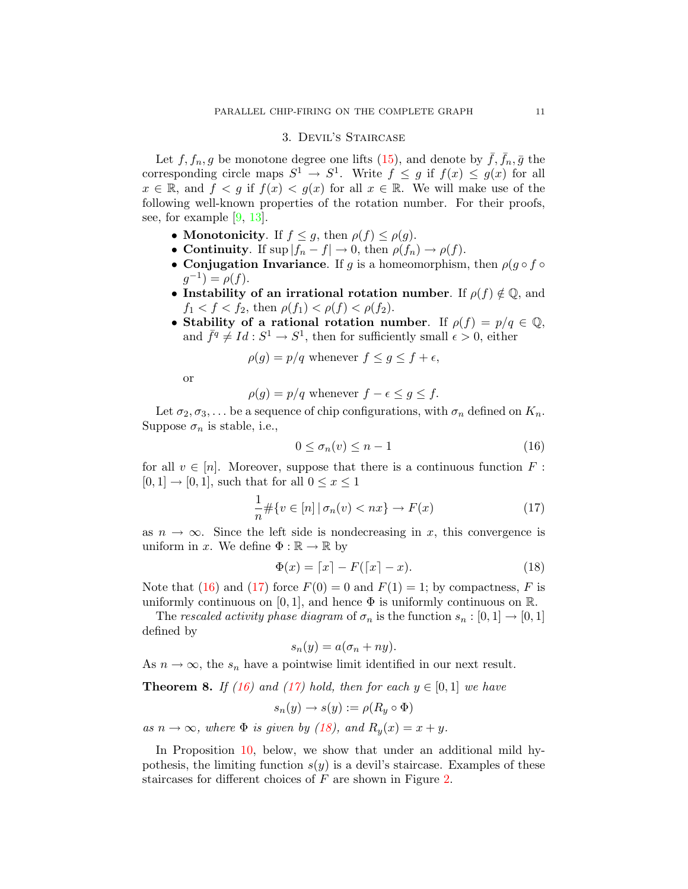## 3. Devil's Staircase

<span id="page-10-1"></span>Let  $f, f_n, g$  be monotone degree one lifts [\(15\)](#page-8-0), and denote by  $\bar{f}, \bar{f}_n, \bar{g}$  the corresponding circle maps  $S^1 \to S^1$ . Write  $f \leq g$  if  $f(x) \leq g(x)$  for all  $x \in \mathbb{R}$ , and  $f < g$  if  $f(x) < g(x)$  for all  $x \in \mathbb{R}$ . We will make use of the following well-known properties of the rotation number. For their proofs, see, for example [\[9,](#page-20-6) [13\]](#page-21-2).

- Monotonicity. If  $f \leq g$ , then  $\rho(f) \leq \rho(g)$ .
- Continuity. If  $\sup |f_n f| \to 0$ , then  $\rho(f_n) \to \rho(f)$ .
- Conjugation Invariance. If g is a homeomorphism, then  $\rho(g \circ f \circ f)$  $g^{-1}$ ) =  $\rho(f)$ .
- Instability of an irrational rotation number. If  $\rho(f) \notin \mathbb{Q}$ , and  $f_1 < f < f_2$ , then  $\rho(f_1) < \rho(f) < \rho(f_2)$ .
- Stability of a rational rotation number. If  $\rho(f) = p/q \in \mathbb{Q}$ , and  $\bar{f}^q \neq Id : S^1 \to S^1$ , then for sufficiently small  $\epsilon > 0$ , either

$$
\rho(g) = p/q
$$
 whenever  $f \le g \le f + \epsilon$ ,

or

$$
\rho(g) = p/q
$$
 whenever  $f - \epsilon \le g \le f$ .

Let  $\sigma_2, \sigma_3, \ldots$  be a sequence of chip configurations, with  $\sigma_n$  defined on  $K_n$ . Suppose  $\sigma_n$  is stable, i.e.,

<span id="page-10-2"></span>
$$
0 \le \sigma_n(v) \le n - 1 \tag{16}
$$

for all  $v \in [n]$ . Moreover, suppose that there is a continuous function F:  $[0, 1] \rightarrow [0, 1]$ , such that for all  $0 \le x \le 1$ 

<span id="page-10-3"></span>
$$
\frac{1}{n} \# \{ v \in [n] \mid \sigma_n(v) < nx \} \to F(x) \tag{17}
$$

as  $n \to \infty$ . Since the left side is nondecreasing in x, this convergence is uniform in x. We define  $\Phi : \mathbb{R} \to \mathbb{R}$  by

<span id="page-10-4"></span>
$$
\Phi(x) = \lceil x \rceil - F(\lceil x \rceil - x). \tag{18}
$$

Note that [\(16\)](#page-10-2) and [\(17\)](#page-10-3) force  $F(0) = 0$  and  $F(1) = 1$ ; by compactness, F is uniformly continuous on [0, 1], and hence  $\Phi$  is uniformly continuous on R.

The rescaled activity phase diagram of  $\sigma_n$  is the function  $s_n : [0,1] \to [0,1]$ defined by

$$
s_n(y) = a(\sigma_n + ny).
$$

<span id="page-10-0"></span>As  $n \to \infty$ , the  $s_n$  have a pointwise limit identified in our next result.

**Theorem 8.** If [\(16\)](#page-10-2) and [\(17\)](#page-10-3) hold, then for each  $y \in [0,1]$  we have

$$
s_n(y) \to s(y) := \rho(R_y \circ \Phi)
$$

as  $n \to \infty$ , where  $\Phi$  is given by [\(18\)](#page-10-4), and  $R_y(x) = x + y$ .

In Proposition [10,](#page-12-0) below, we show that under an additional mild hypothesis, the limiting function  $s(y)$  is a devil's staircase. Examples of these staircases for different choices of F are shown in Figure [2.](#page-11-0)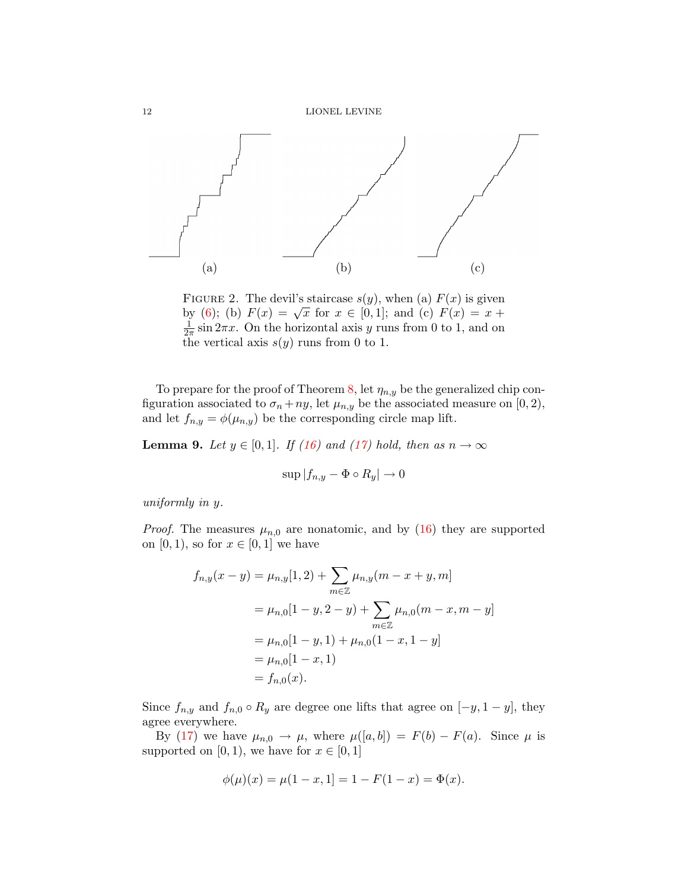

<span id="page-11-0"></span>FIGURE 2. The devil's staircase  $s(y)$ , when (a)  $F(x)$  is given FIGURE 2. The devit s starcase  $s(y)$ , when (a)  $F(x)$  is given<br>by [\(6\)](#page-3-1); (b)  $F(x) = \sqrt{x}$  for  $x \in [0,1]$ ; and (c)  $F(x) = x +$ 1  $\frac{1}{2\pi}$  sin  $2\pi x$ . On the horizontal axis y runs from 0 to 1, and on the vertical axis  $s(y)$  runs from 0 to 1.

To prepare for the proof of Theorem [8,](#page-10-0) let  $\eta_{n,y}$  be the generalized chip configuration associated to  $\sigma_n + ny$ , let  $\mu_{n,y}$  be the associated measure on [0, 2), and let  $f_{n,y} = \phi(\mu_{n,y})$  be the corresponding circle map lift.

<span id="page-11-1"></span>**Lemma 9.** Let  $y \in [0,1]$ . If [\(16\)](#page-10-2) and [\(17\)](#page-10-3) hold, then as  $n \to \infty$ 

$$
\sup |f_{n,y} - \Phi \circ R_y| \to 0
$$

uniformly in y.

*Proof.* The measures  $\mu_{n,0}$  are nonatomic, and by [\(16\)](#page-10-2) they are supported on  $[0, 1)$ , so for  $x \in [0, 1]$  we have

$$
f_{n,y}(x - y) = \mu_{n,y}[1,2) + \sum_{m \in \mathbb{Z}} \mu_{n,y}(m - x + y, m]
$$
  
=  $\mu_{n,0}[1 - y, 2 - y) + \sum_{m \in \mathbb{Z}} \mu_{n,0}(m - x, m - y]$   
=  $\mu_{n,0}[1 - y, 1) + \mu_{n,0}(1 - x, 1 - y]$   
=  $\mu_{n,0}[1 - x, 1)$   
=  $f_{n,0}(x)$ .

Since  $f_{n,y}$  and  $f_{n,0} \circ R_y$  are degree one lifts that agree on  $[-y, 1-y]$ , they agree everywhere.

By [\(17\)](#page-10-3) we have  $\mu_{n,0} \to \mu$ , where  $\mu([a, b]) = F(b) - F(a)$ . Since  $\mu$  is supported on [0, 1], we have for  $x \in [0, 1]$ 

$$
\phi(\mu)(x) = \mu(1 - x, 1) = 1 - F(1 - x) = \Phi(x).
$$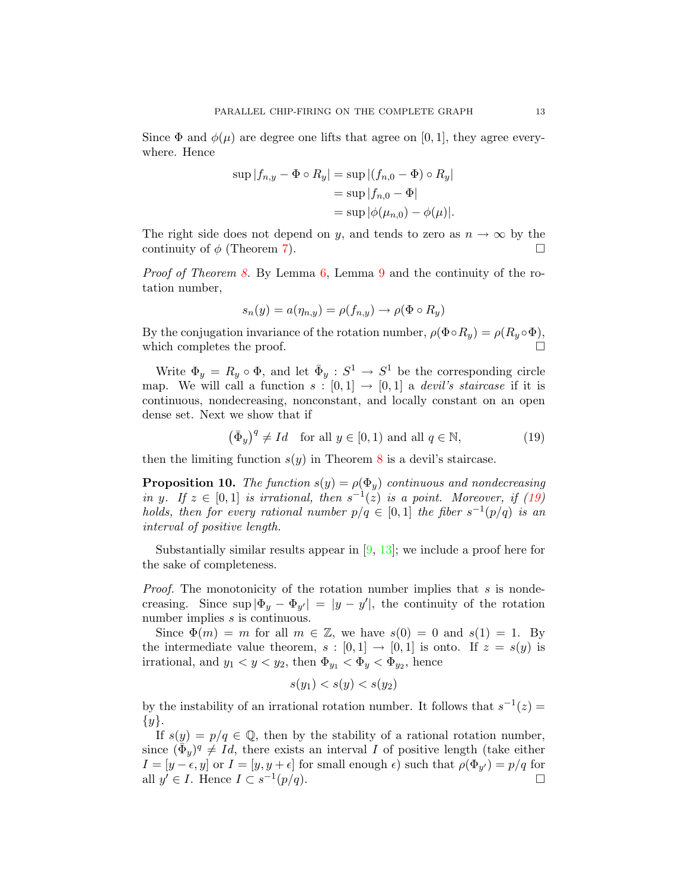Since  $\Phi$  and  $\phi(\mu)$  are degree one lifts that agree on [0, 1], they agree everywhere. Hence

$$
\sup |f_{n,y} - \Phi \circ R_y| = \sup |(f_{n,0} - \Phi) \circ R_y|
$$
  
= 
$$
\sup |f_{n,0} - \Phi|
$$
  
= 
$$
\sup |\phi(\mu_{n,0}) - \phi(\mu)|.
$$

The right side does not depend on y, and tends to zero as  $n \to \infty$  by the continuity of  $\phi$  (Theorem [7\)](#page-8-1).

Proof of Theorem [8.](#page-10-0) By Lemma [6,](#page-8-2) Lemma [9](#page-11-1) and the continuity of the rotation number,

$$
s_n(y) = a(\eta_{n,y}) = \rho(f_{n,y}) \to \rho(\Phi \circ R_y)
$$

By the conjugation invariance of the rotation number,  $\rho(\Phi \circ R_y) = \rho(R_y \circ \Phi)$ , which completes the proof.

Write  $\Phi_y = R_y \circ \Phi$ , and let  $\bar{\Phi}_y : S^1 \to S^1$  be the corresponding circle map. We will call a function  $s : [0,1] \rightarrow [0,1]$  a *devil's staircase* if it is continuous, nondecreasing, nonconstant, and locally constant on an open dense set. Next we show that if

<span id="page-12-1"></span>
$$
(\bar{\Phi}_y)^q \neq Id \quad \text{for all } y \in [0, 1) \text{ and all } q \in \mathbb{N}, \tag{19}
$$

then the limiting function  $s(y)$  in Theorem [8](#page-10-0) is a devil's staircase.

<span id="page-12-0"></span>**Proposition 10.** The function  $s(y) = \rho(\Phi_y)$  continuous and nondecreasing in y. If  $z \in [0,1]$  is irrational, then  $s^{-1}(z)$  is a point. Moreover, if [\(19\)](#page-12-1) holds, then for every rational number  $p/q \in [0,1]$  the fiber  $s^{-1}(p/q)$  is an interval of positive length.

Substantially similar results appear in  $[9, 13]$  $[9, 13]$  $[9, 13]$ ; we include a proof here for the sake of completeness.

Proof. The monotonicity of the rotation number implies that s is nondecreasing. Since  $\sup |\Phi_y - \Phi_{y'}| = |y - y'|$ , the continuity of the rotation number implies s is continuous.

Since  $\Phi(m) = m$  for all  $m \in \mathbb{Z}$ , we have  $s(0) = 0$  and  $s(1) = 1$ . By the intermediate value theorem,  $s : [0,1] \rightarrow [0,1]$  is onto. If  $z = s(y)$  is irrational, and  $y_1 < y < y_2$ , then  $\Phi_{y_1} < \Phi_y < \Phi_{y_2}$ , hence

$$
s(y_1) < s(y) < s(y_2)
$$

by the instability of an irrational rotation number. It follows that  $s^{-1}(z) =$  $\{y\}.$ 

If  $s(y) = p/q \in \mathbb{Q}$ , then by the stability of a rational rotation number, since  $(\bar{\bar{\Phi}}_y)^q \neq Id$ , there exists an interval I of positive length (take either  $I = [y - \epsilon, y]$  or  $I = [y, y + \epsilon]$  for small enough  $\epsilon$ ) such that  $\rho(\Phi_{y'}) = p/q$  for all  $y' \in I$ . Hence  $I \subset s^{-1}$  $(p/q).$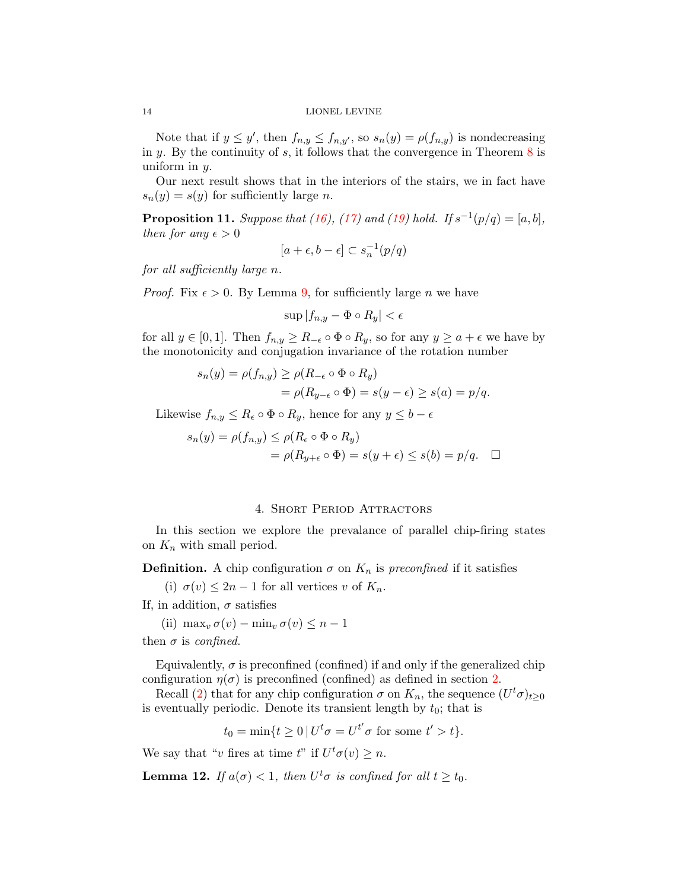#### 14 LIONEL LEVINE

Note that if  $y \le y'$ , then  $f_{n,y} \le f_{n,y'}$ , so  $s_n(y) = \rho(f_{n,y})$  is nondecreasing in  $y$ . By the continuity of  $s$ , it follows that the convergence in Theorem  $8$  is uniform in y.

Our next result shows that in the interiors of the stairs, we in fact have  $s_n(y) = s(y)$  for sufficiently large n.

<span id="page-13-2"></span>**Proposition 11.** Suppose that [\(16\)](#page-10-2), [\(17\)](#page-10-3) and [\(19\)](#page-12-1) hold. If  $s^{-1}(p/q) = [a, b]$ , then for any  $\epsilon > 0$ 

$$
[a+\epsilon,b-\epsilon]\subset s_n^{-1}(p/q)
$$

for all sufficiently large n.

*Proof.* Fix  $\epsilon > 0$ . By Lemma [9,](#page-11-1) for sufficiently large *n* we have

$$
\sup |f_{n,y} - \Phi \circ R_y| < \epsilon
$$

for all  $y \in [0,1]$ . Then  $f_{n,y} \geq R_{-\epsilon} \circ \Phi \circ R_y$ , so for any  $y \geq a + \epsilon$  we have by the monotonicity and conjugation invariance of the rotation number

$$
s_n(y) = \rho(f_{n,y}) \ge \rho(R_{-\epsilon} \circ \Phi \circ R_y)
$$
  
=  $\rho(R_{y-\epsilon} \circ \Phi) = s(y-\epsilon) \ge s(a) = p/q.$ 

Likewise  $f_{n,y} \leq R_{\epsilon} \circ \Phi \circ R_{y}$ , hence for any  $y \leq b - \epsilon$ 

$$
s_n(y) = \rho(f_{n,y}) \le \rho(R_\epsilon \circ \Phi \circ R_y)
$$
  
=  $\rho(R_{y+\epsilon} \circ \Phi) = s(y+\epsilon) \le s(b) = p/q.$ 

## 4. Short Period Attractors

<span id="page-13-0"></span>In this section we explore the prevalance of parallel chip-firing states on  $K_n$  with small period.

**Definition.** A chip configuration  $\sigma$  on  $K_n$  is preconfined if it satisfies

(i)  $\sigma(v) \leq 2n - 1$  for all vertices v of  $K_n$ .

If, in addition,  $\sigma$  satisfies

(ii) max<sub>v</sub>  $\sigma(v) - \min_v \sigma(v) \leq n - 1$ 

then  $\sigma$  is confined.

Equivalently,  $\sigma$  is preconfined (confined) if and only if the generalized chip configuration  $\eta(\sigma)$  is preconfined (confined) as defined in section [2.](#page-4-0)

Recall [\(2\)](#page-1-0) that for any chip configuration  $\sigma$  on  $K_n$ , the sequence  $(U^t\sigma)_{t\geq 0}$ is eventually periodic. Denote its transient length by  $t_0$ ; that is

$$
t_0 = \min\{t \ge 0 \,|\, U^t \sigma = U^{t'} \sigma \text{ for some } t' > t\}.
$$

We say that "v fires at time t" if  $U^t \sigma(v) \geq n$ .

<span id="page-13-1"></span>**Lemma 12.** If  $a(\sigma) < 1$ , then  $U^t \sigma$  is confined for all  $t \geq t_0$ .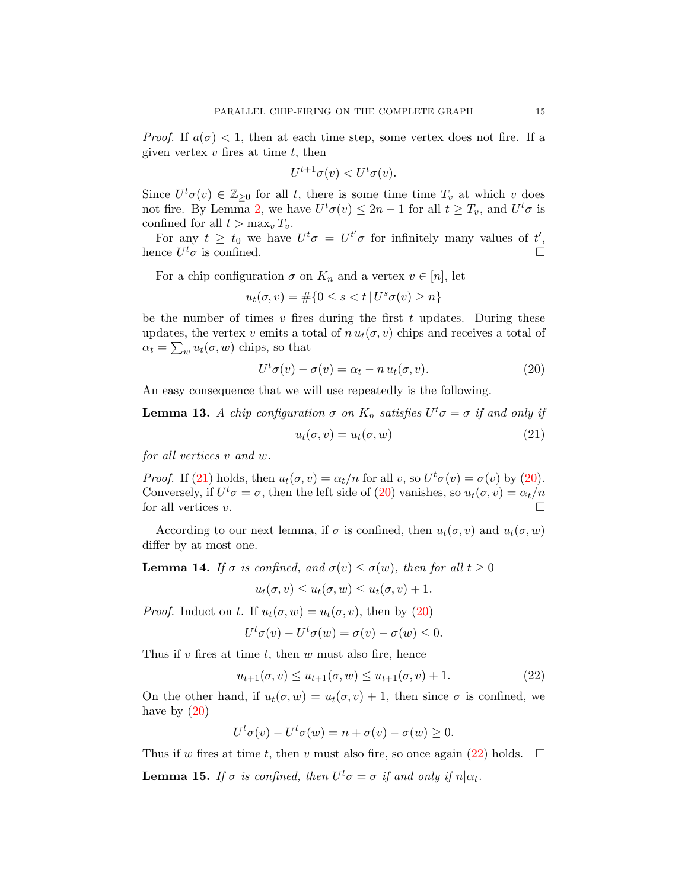*Proof.* If  $a(\sigma) < 1$ , then at each time step, some vertex does not fire. If a given vertex  $v$  fires at time  $t$ , then

$$
U^{t+1}\sigma(v) < U^t\sigma(v).
$$

Since  $U^t\sigma(v) \in \mathbb{Z}_{\geq 0}$  for all t, there is some time time  $T_v$  at which v does not fire. By Lemma [2,](#page-5-0) we have  $U^t \sigma(v) \leq 2n - 1$  for all  $t \geq T_v$ , and  $U^t \sigma$  is confined for all  $t > \max_v T_v$ .

For any  $t \geq t_0$  we have  $U^t \sigma = U^{t'} \sigma$  for infinitely many values of  $t'$ , hence  $U^t \sigma$  is confined.

For a chip configuration  $\sigma$  on  $K_n$  and a vertex  $v \in [n]$ , let

$$
u_t(\sigma, v) = \#\{0 \le s < t \, | \, U^s \sigma(v) \ge n\}
$$

be the number of times  $v$  fires during the first  $t$  updates. During these updates, the vertex v emits a total of  $n u_t(\sigma, v)$  chips and receives a total of  $\alpha_t = \sum_w u_t(\sigma, w)$  chips, so that

<span id="page-14-1"></span>
$$
Ut \sigma(v) - \sigma(v) = \alpha_t - n u_t(\sigma, v).
$$
 (20)

<span id="page-14-3"></span>An easy consequence that we will use repeatedly is the following.

**Lemma 13.** A chip configuration  $\sigma$  on  $K_n$  satisfies  $U^t \sigma = \sigma$  if and only if

<span id="page-14-0"></span>
$$
u_t(\sigma, v) = u_t(\sigma, w) \tag{21}
$$

for all vertices v and w.

*Proof.* If [\(21\)](#page-14-0) holds, then  $u_t(\sigma, v) = \alpha_t/n$  for all v, so  $U^t\sigma(v) = \sigma(v)$  by [\(20\)](#page-14-1). Conversely, if  $U^t \sigma = \sigma$ , then the left side of [\(20\)](#page-14-1) vanishes, so  $u_t(\sigma, v) = \alpha_t/n$ for all vertices  $v$ .

According to our next lemma, if  $\sigma$  is confined, then  $u_t(\sigma, v)$  and  $u_t(\sigma, w)$ differ by at most one.

<span id="page-14-4"></span>**Lemma 14.** If  $\sigma$  is confined, and  $\sigma(v) \leq \sigma(w)$ , then for all  $t \geq 0$ 

$$
u_t(\sigma, v) \le u_t(\sigma, w) \le u_t(\sigma, v) + 1.
$$

*Proof.* Induct on t. If  $u_t(\sigma, w) = u_t(\sigma, v)$ , then by [\(20\)](#page-14-1)

$$
U^t \sigma(v) - U^t \sigma(w) = \sigma(v) - \sigma(w) \le 0.
$$

Thus if  $v$  fires at time  $t$ , then  $w$  must also fire, hence

<span id="page-14-2"></span>
$$
u_{t+1}(\sigma, v) \le u_{t+1}(\sigma, w) \le u_{t+1}(\sigma, v) + 1. \tag{22}
$$

On the other hand, if  $u_t(\sigma, w) = u_t(\sigma, v) + 1$ , then since  $\sigma$  is confined, we have by  $(20)$ 

$$
U^t \sigma(v) - U^t \sigma(w) = n + \sigma(v) - \sigma(w) \ge 0.
$$

Thus if w fires at time t, then v must also fire, so once again [\(22\)](#page-14-2) holds.  $\Box$ 

<span id="page-14-5"></span>**Lemma 15.** If  $\sigma$  is confined, then  $U^t \sigma = \sigma$  if and only if  $n | \alpha_t$ .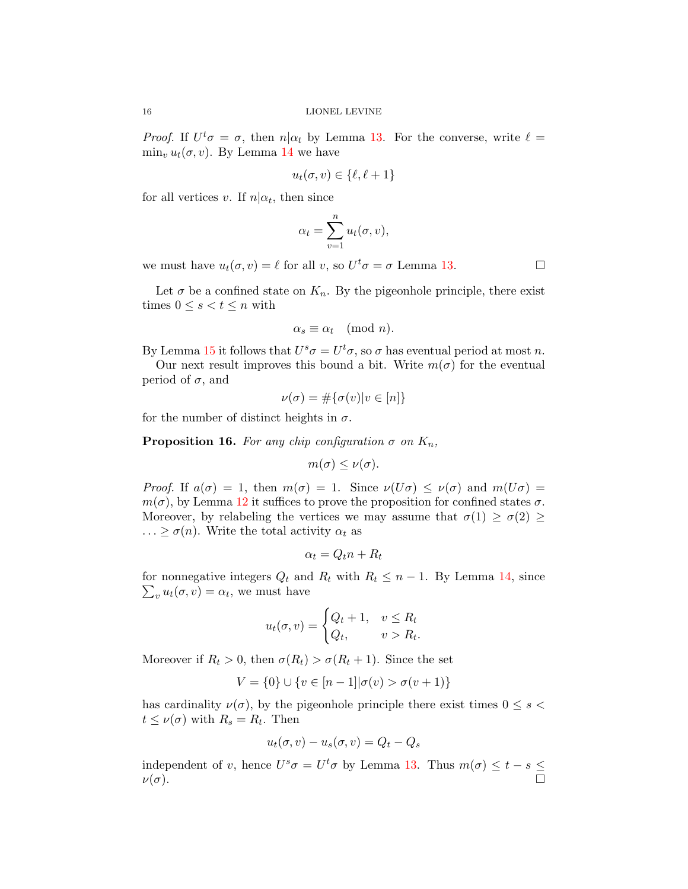*Proof.* If  $U^t \sigma = \sigma$ , then  $n | \alpha_t$  by Lemma [13.](#page-14-3) For the converse, write  $\ell =$  $\min_v u_t(\sigma, v)$ . By Lemma [14](#page-14-4) we have

$$
u_t(\sigma, v) \in \{\ell, \ell + 1\}
$$

for all vertices v. If  $n | \alpha_t$ , then since

$$
\alpha_t = \sum_{v=1}^n u_t(\sigma, v),
$$

we must have  $u_t(\sigma, v) = \ell$  for all v, so  $U^t \sigma = \sigma$  Lemma [13.](#page-14-3)

Let  $\sigma$  be a confined state on  $K_n$ . By the pigeonhole principle, there exist times  $0 \leq s < t \leq n$  with

$$
\alpha_s \equiv \alpha_t \pmod{n}.
$$

By Lemma [15](#page-14-5) it follows that  $U^s \sigma = U^t \sigma$ , so  $\sigma$  has eventual period at most n.

Our next result improves this bound a bit. Write  $m(\sigma)$  for the eventual period of  $\sigma$ , and

$$
\nu(\sigma) = \#\{\sigma(v)|v \in [n]\}
$$

<span id="page-15-0"></span>for the number of distinct heights in  $\sigma$ .

**Proposition 16.** For any chip configuration  $\sigma$  on  $K_n$ ,

$$
m(\sigma) \leq \nu(\sigma).
$$

Proof. If  $a(\sigma) = 1$ , then  $m(\sigma) = 1$ . Since  $\nu(U\sigma) \leq \nu(\sigma)$  and  $m(U\sigma) =$  $m(\sigma)$ , by Lemma [12](#page-13-1) it suffices to prove the proposition for confined states  $\sigma$ . Moreover, by relabeling the vertices we may assume that  $\sigma(1) \geq \sigma(2) \geq$  $\ldots \geq \sigma(n)$ . Write the total activity  $\alpha_t$  as

$$
\alpha_t = Q_t n + R_t
$$

for nonnegative integers  $Q_t$  and  $R_t$  with  $R_t \leq n-1$ . By Lemma [14,](#page-14-4) since  $\sum_{v} u_t(\sigma, v) = \alpha_t$ , we must have

$$
u_t(\sigma, v) = \begin{cases} Q_t + 1, & v \le R_t \\ Q_t, & v > R_t. \end{cases}
$$

Moreover if  $R_t > 0$ , then  $\sigma(R_t) > \sigma(R_t + 1)$ . Since the set

$$
V = \{0\} \cup \{v \in [n-1] | \sigma(v) > \sigma(v+1)\}
$$

has cardinality  $\nu(\sigma)$ , by the pigeonhole principle there exist times  $0 \leq s <$  $t \leq \nu(\sigma)$  with  $R_s = R_t$ . Then

$$
u_t(\sigma, v) - u_s(\sigma, v) = Q_t - Q_s
$$

independent of v, hence  $U^s \sigma = U^t \sigma$  by Lemma [13.](#page-14-3) Thus  $m(\sigma) \leq t - s \leq$  $\nu(\sigma)$ .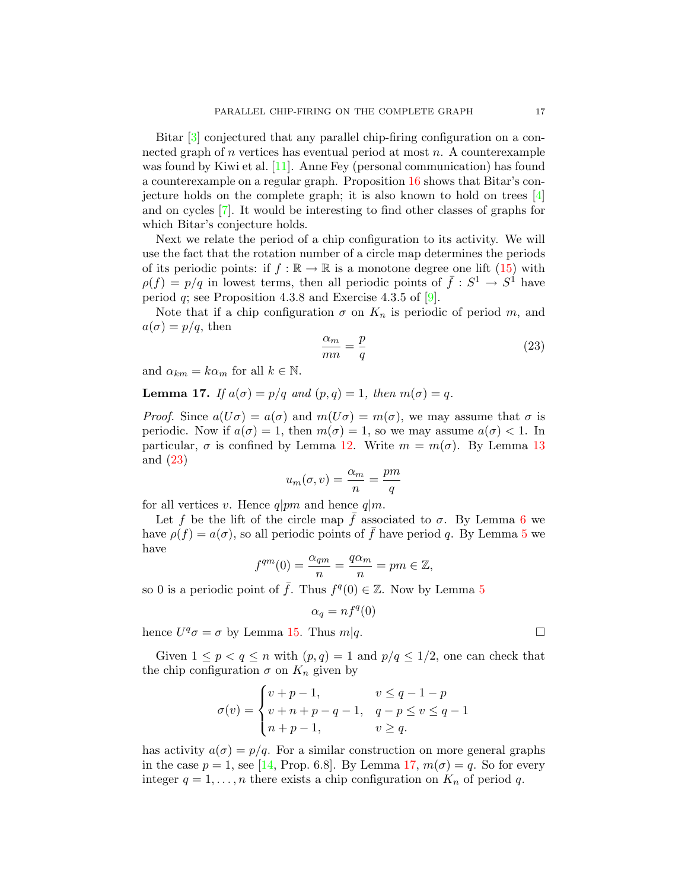Bitar [\[3\]](#page-20-9) conjectured that any parallel chip-firing configuration on a connected graph of  $n$  vertices has eventual period at most  $n$ . A counterexample was found by Kiwi et al. [\[11\]](#page-21-3). Anne Fey (personal communication) has found a counterexample on a regular graph. Proposition [16](#page-15-0) shows that Bitar's conjecture holds on the complete graph; it is also known to hold on trees [\[4\]](#page-20-0) and on cycles [\[7\]](#page-20-5). It would be interesting to find other classes of graphs for which Bitar's conjecture holds.

Next we relate the period of a chip configuration to its activity. We will use the fact that the rotation number of a circle map determines the periods of its periodic points: if  $f : \mathbb{R} \to \mathbb{R}$  is a monotone degree one lift [\(15\)](#page-8-0) with  $\rho(f) = p/q$  in lowest terms, then all periodic points of  $\bar{f}: S^1 \to S^1$  have period  $q$ ; see Proposition 4.3.8 and Exercise 4.3.5 of [\[9\]](#page-20-6).

Note that if a chip configuration  $\sigma$  on  $K_n$  is periodic of period m, and  $a(\sigma) = p/q$ , then

<span id="page-16-1"></span>
$$
\frac{\alpha_m}{mn} = \frac{p}{q} \tag{23}
$$

and  $\alpha_{km} = k \alpha_m$  for all  $k \in \mathbb{N}$ .

<span id="page-16-0"></span>**Lemma 17.** If  $a(\sigma) = p/q$  and  $(p, q) = 1$ , then  $m(\sigma) = q$ .

*Proof.* Since  $a(U\sigma) = a(\sigma)$  and  $m(U\sigma) = m(\sigma)$ , we may assume that  $\sigma$  is periodic. Now if  $a(\sigma) = 1$ , then  $m(\sigma) = 1$ , so we may assume  $a(\sigma) < 1$ . In particular,  $\sigma$  is confined by Lemma [12.](#page-13-1) Write  $m = m(\sigma)$ . By Lemma [13](#page-14-3) and [\(23\)](#page-16-1)

$$
u_m(\sigma, v) = \frac{\alpha_m}{n} = \frac{pm}{q}
$$

for all vertices v. Hence  $q|pm$  and hence  $q|m$ .

Let f be the lift of the circle map f associated to  $\sigma$ . By Lemma [6](#page-8-2) we have  $\rho(f) = a(\sigma)$ , so all periodic points of  $\bar{f}$  have period q. By Lemma [5](#page-7-1) we have

$$
f^{qm}(0) = \frac{\alpha_{qm}}{n} = \frac{q\alpha_m}{n} = pm \in \mathbb{Z},
$$

so 0 is a periodic point of  $\bar{f}$ . Thus  $f^q(0) \in \mathbb{Z}$ . Now by Lemma [5](#page-7-1)

$$
\alpha_q = n f^q(0)
$$

hence  $U^q \sigma = \sigma$  by Lemma [15.](#page-14-5) Thus  $m|q$ .

Given  $1 \leq p < q \leq n$  with  $(p, q) = 1$  and  $p/q \leq 1/2$ , one can check that the chip configuration  $\sigma$  on  $K_n$  given by

$$
\sigma(v) = \begin{cases} v + p - 1, & v \le q - 1 - p \\ v + n + p - q - 1, & q - p \le v \le q - 1 \\ n + p - 1, & v \ge q. \end{cases}
$$

has activity  $a(\sigma) = p/q$ . For a similar construction on more general graphs in the case  $p = 1$ , see [\[14,](#page-21-4) Prop. 6.8]. By Lemma [17,](#page-16-0)  $m(\sigma) = q$ . So for every integer  $q = 1, \ldots, n$  there exists a chip configuration on  $K_n$  of period q.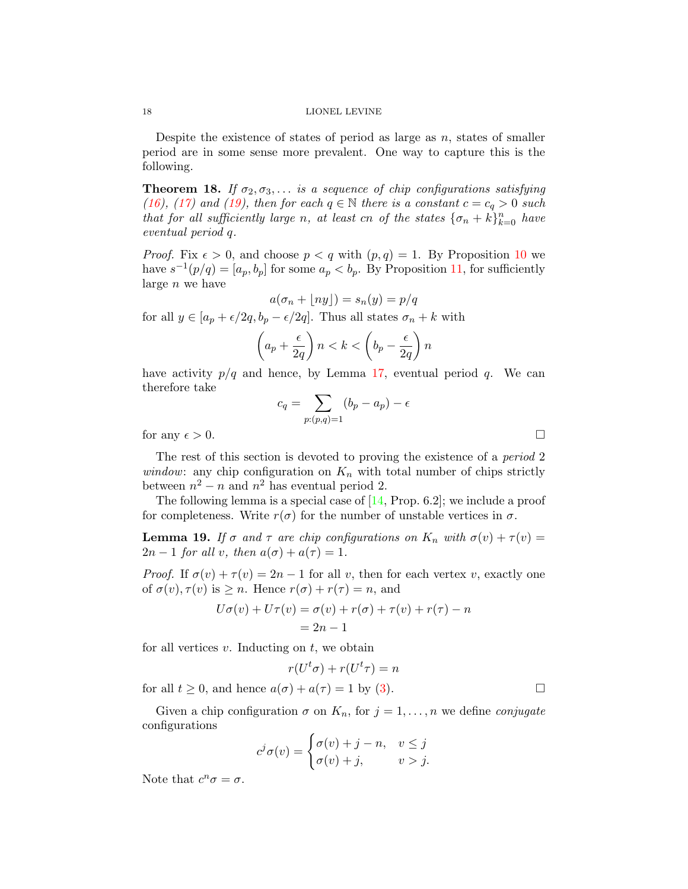#### 18 LIONEL LEVINE

Despite the existence of states of period as large as  $n$ , states of smaller period are in some sense more prevalent. One way to capture this is the following.

<span id="page-17-0"></span>**Theorem 18.** If  $\sigma_2, \sigma_3, \ldots$  is a sequence of chip configurations satisfying [\(16\)](#page-10-2), [\(17\)](#page-10-3) and [\(19\)](#page-12-1), then for each  $q \in \mathbb{N}$  there is a constant  $c = c_q > 0$  such that for all sufficiently large n, at least cn of the states  $\{\sigma_n + k\}_{k=0}^n$  have eventual period q.

*Proof.* Fix  $\epsilon > 0$ , and choose  $p < q$  with  $(p,q) = 1$ . By Proposition [10](#page-12-0) we have  $s^{-1}(p/q) = [a_p, b_p]$  for some  $a_p < b_p$ . By Proposition [11,](#page-13-2) for sufficiently large n we have

$$
a(\sigma_n + \lfloor ny \rfloor) = s_n(y) = p/q
$$

for all  $y \in [a_p + \epsilon/2q, b_p - \epsilon/2q]$ . Thus all states  $\sigma_n + k$  with

$$
\left(a_p + \frac{\epsilon}{2q}\right)n < k < \left(b_p - \frac{\epsilon}{2q}\right)n
$$

have activity  $p/q$  and hence, by Lemma [17,](#page-16-0) eventual period q. We can therefore take

$$
c_q = \sum_{p:(p,q)=1} (b_p - a_p) - \epsilon
$$
 for any  $\epsilon > 0$ .

The rest of this section is devoted to proving the existence of a *period* 2 window: any chip configuration on  $K_n$  with total number of chips strictly between  $n^2 - n$  and  $n^2$  has eventual period 2.

The following lemma is a special case of [\[14,](#page-21-4) Prop. 6.2]; we include a proof for completeness. Write  $r(\sigma)$  for the number of unstable vertices in  $\sigma$ .

<span id="page-17-1"></span>**Lemma 19.** If  $\sigma$  and  $\tau$  are chip configurations on  $K_n$  with  $\sigma(v) + \tau(v) =$  $2n-1$  for all v, then  $a(\sigma) + a(\tau) = 1$ .

*Proof.* If  $\sigma(v) + \tau(v) = 2n - 1$  for all v, then for each vertex v, exactly one of  $\sigma(v)$ ,  $\tau(v)$  is  $\geq n$ . Hence  $r(\sigma) + r(\tau) = n$ , and

$$
U\sigma(v) + U\tau(v) = \sigma(v) + r(\sigma) + \tau(v) + r(\tau) - n
$$
  
= 2n - 1

for all vertices  $v$ . Inducting on  $t$ , we obtain

$$
r(U^t\sigma) + r(U^t\tau) = n
$$

for all  $t \geq 0$ , and hence  $a(\sigma) + a(\tau) = 1$  by [\(3\)](#page-1-1).

Given a chip configuration  $\sigma$  on  $K_n$ , for  $j = 1, \ldots, n$  we define *conjugate* configurations

$$
c^j \sigma(v) = \begin{cases} \sigma(v) + j - n, & v \le j \\ \sigma(v) + j, & v > j. \end{cases}
$$

Note that  $c^n \sigma = \sigma$ .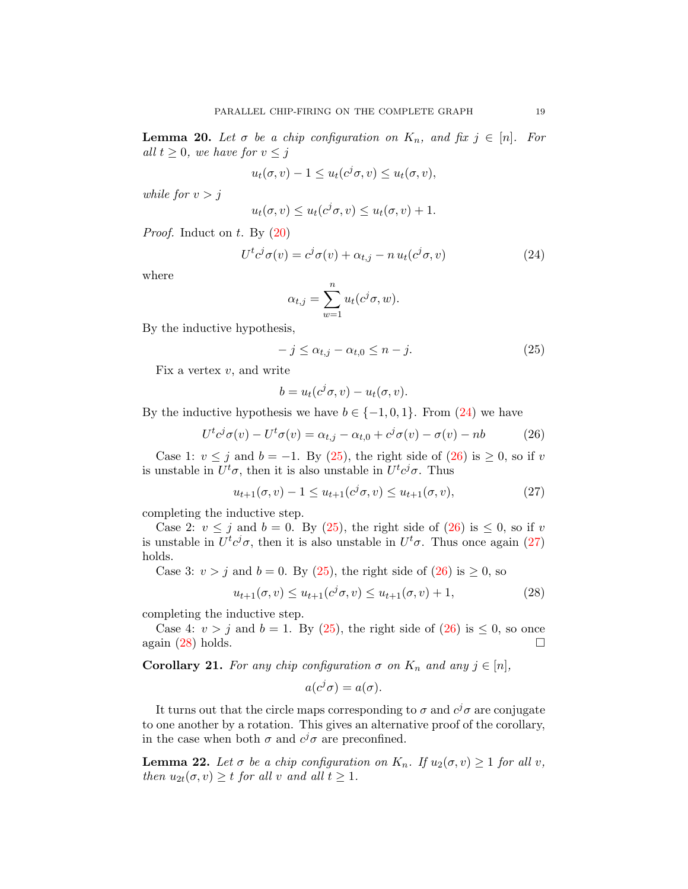**Lemma 20.** Let  $\sigma$  be a chip configuration on  $K_n$ , and fix  $j \in [n]$ . For all  $t \geq 0$ , we have for  $v \leq j$ 

$$
u_t(\sigma, v) - 1 \le u_t(c^j \sigma, v) \le u_t(\sigma, v),
$$

while for  $v > j$ 

$$
u_t(\sigma, v) \le u_t(c^j\sigma, v) \le u_t(\sigma, v) + 1.
$$

*Proof.* Induct on t. By  $(20)$ 

<span id="page-18-0"></span>
$$
U^{t}c^{j}\sigma(v) = c^{j}\sigma(v) + \alpha_{t,j} - n u_{t}(c^{j}\sigma, v)
$$
\n(24)

where

$$
\alpha_{t,j} = \sum_{w=1}^n u_t(c^j \sigma, w).
$$

By the inductive hypothesis,

<span id="page-18-1"></span>
$$
-j \leq \alpha_{t,j} - \alpha_{t,0} \leq n-j. \tag{25}
$$

Fix a vertex  $v$ , and write

<span id="page-18-2"></span>
$$
b = u_t(c^j \sigma, v) - u_t(\sigma, v).
$$

By the inductive hypothesis we have  $b \in \{-1, 0, 1\}$ . From  $(24)$  we have

$$
U^t c^j \sigma(v) - U^t \sigma(v) = \alpha_{t,j} - \alpha_{t,0} + c^j \sigma(v) - \sigma(v) - nb \tag{26}
$$

Case 1:  $v \leq j$  and  $b = -1$ . By [\(25\)](#page-18-1), the right side of [\(26\)](#page-18-2) is  $\geq 0$ , so if v is unstable in  $U^t\sigma$ , then it is also unstable in  $U^t c^j \sigma$ . Thus

<span id="page-18-3"></span>
$$
u_{t+1}(\sigma, v) - 1 \le u_{t+1}(c^j \sigma, v) \le u_{t+1}(\sigma, v), \tag{27}
$$

completing the inductive step.

Case 2:  $v \leq j$  and  $b = 0$ . By [\(25\)](#page-18-1), the right side of [\(26\)](#page-18-2) is  $\leq 0$ , so if v is unstable in  $U^t c^j \sigma$ , then it is also unstable in  $U^t \sigma$ . Thus once again [\(27\)](#page-18-3) holds.

Case 3:  $v > j$  and  $b = 0$ . By [\(25\)](#page-18-1), the right side of [\(26\)](#page-18-2) is  $\geq 0$ , so

<span id="page-18-4"></span>
$$
u_{t+1}(\sigma, v) \le u_{t+1}(c^j \sigma, v) \le u_{t+1}(\sigma, v) + 1,
$$
\n(28)

completing the inductive step.

Case 4:  $v > j$  and  $b = 1$ . By [\(25\)](#page-18-1), the right side of [\(26\)](#page-18-2) is  $\leq 0$ , so once again  $(28)$  holds.

<span id="page-18-5"></span>**Corollary 21.** For any chip configuration  $\sigma$  on  $K_n$  and any  $j \in [n]$ ,

$$
a(c^j \sigma) = a(\sigma).
$$

It turns out that the circle maps corresponding to  $\sigma$  and  $c^j\sigma$  are conjugate to one another by a rotation. This gives an alternative proof of the corollary, in the case when both  $\sigma$  and  $c^j\sigma$  are preconfined.

<span id="page-18-6"></span>**Lemma 22.** Let  $\sigma$  be a chip configuration on  $K_n$ . If  $u_2(\sigma, v) \geq 1$  for all v, then  $u_{2t}(\sigma, v) \geq t$  for all v and all  $t \geq 1$ .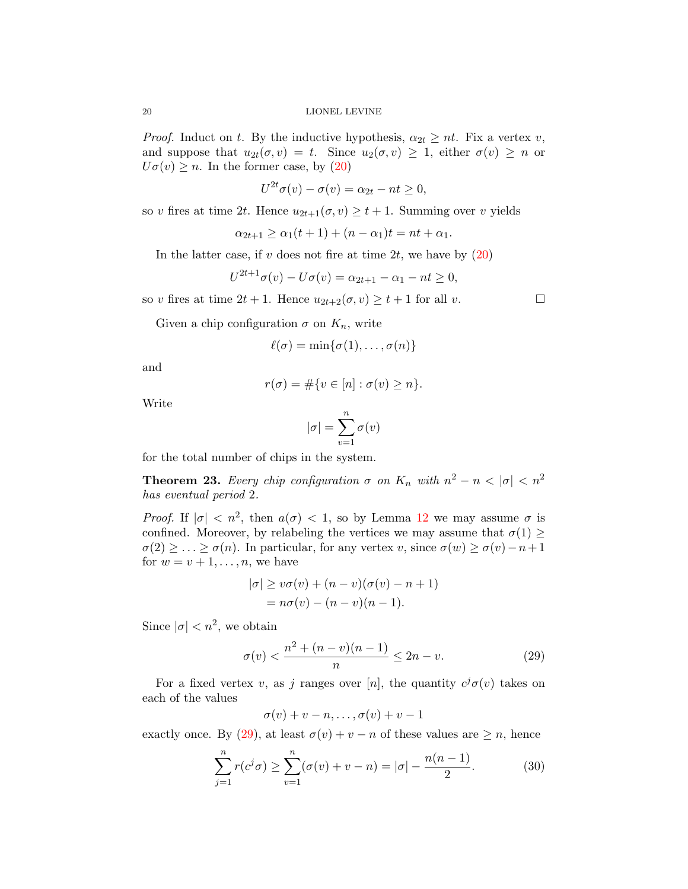*Proof.* Induct on t. By the inductive hypothesis,  $\alpha_{2t} \ge nt$ . Fix a vertex v, and suppose that  $u_{2t}(\sigma, v) = t$ . Since  $u_2(\sigma, v) \geq 1$ , either  $\sigma(v) \geq n$  or  $U\sigma(v) \geq n$ . In the former case, by [\(20\)](#page-14-1)

$$
U^{2t}\sigma(v) - \sigma(v) = \alpha_{2t} - nt \ge 0,
$$

so v fires at time 2t. Hence  $u_{2t+1}(\sigma, v) \geq t+1$ . Summing over v yields

$$
\alpha_{2t+1} \ge \alpha_1(t+1) + (n - \alpha_1)t = nt + \alpha_1.
$$

In the latter case, if v does not fire at time 2t, we have by  $(20)$ 

$$
U^{2t+1}\sigma(v) - U\sigma(v) = \alpha_{2t+1} - \alpha_1 - nt \ge 0,
$$

so v fires at time  $2t + 1$ . Hence  $u_{2t+2}(\sigma, v) \ge t + 1$  for all v.

Given a chip configuration  $\sigma$  on  $K_n$ , write

$$
\ell(\sigma) = \min\{\sigma(1), \ldots, \sigma(n)\}\
$$

and

$$
r(\sigma) = \#\{v \in [n] : \sigma(v) \ge n\}.
$$

Write

$$
|\sigma| = \sum_{v=1}^n \sigma(v)
$$

for the total number of chips in the system.

<span id="page-19-0"></span>**Theorem 23.** Every chip configuration  $\sigma$  on  $K_n$  with  $n^2 - n < |\sigma| < n^2$ has eventual period 2.

*Proof.* If  $|\sigma| < n^2$ , then  $a(\sigma) < 1$ , so by Lemma [12](#page-13-1) we may assume  $\sigma$  is confined. Moreover, by relabeling the vertices we may assume that  $\sigma(1) \geq$  $\sigma(2) \geq \ldots \geq \sigma(n)$ . In particular, for any vertex v, since  $\sigma(w) \geq \sigma(v) - n + 1$ for  $w = v + 1, \ldots, n$ , we have

$$
|\sigma| \ge v\sigma(v) + (n - v)(\sigma(v) - n + 1)
$$
  
=  $n\sigma(v) - (n - v)(n - 1).$ 

Since  $|\sigma| < n^2$ , we obtain

<span id="page-19-1"></span>
$$
\sigma(v) < \frac{n^2 + (n - v)(n - 1)}{n} \le 2n - v. \tag{29}
$$

For a fixed vertex v, as j ranges over [n], the quantity  $c^j \sigma(v)$  takes on each of the values

$$
\sigma(v)+v-n,\ldots,\sigma(v)+v-1
$$

exactly once. By [\(29\)](#page-19-1), at least  $\sigma(v) + v - n$  of these values are  $\geq n$ , hence

<span id="page-19-2"></span>
$$
\sum_{j=1}^{n} r(c^j \sigma) \ge \sum_{v=1}^{n} (\sigma(v) + v - n) = |\sigma| - \frac{n(n-1)}{2}.
$$
 (30)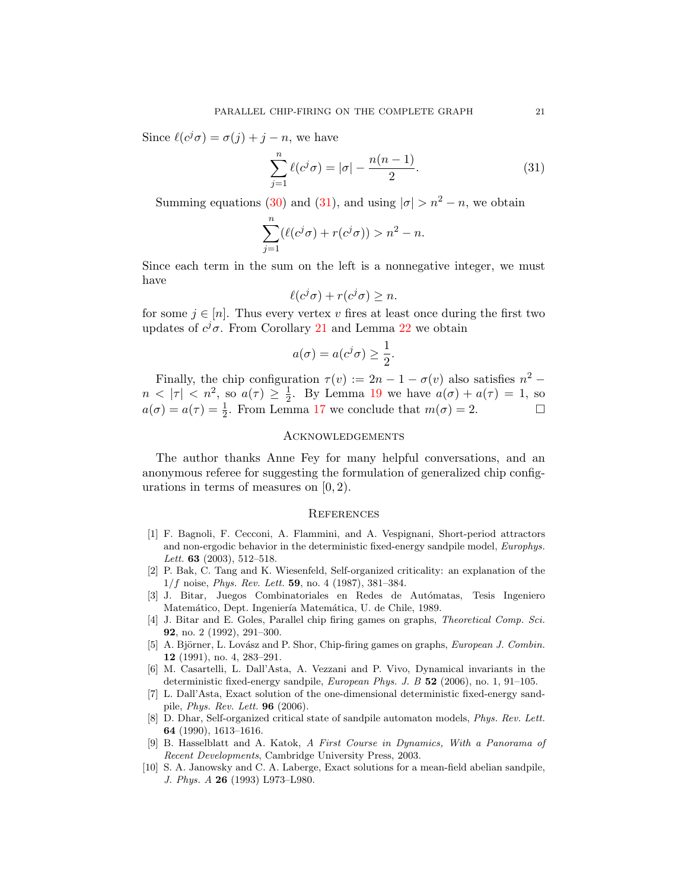Since  $\ell(c^j\sigma) = \sigma(j) + j - n$ , we have

<span id="page-20-10"></span>
$$
\sum_{j=1}^{n} \ell(c^j \sigma) = |\sigma| - \frac{n(n-1)}{2}.
$$
 (31)

Summing equations [\(30\)](#page-19-2) and [\(31\)](#page-20-10), and using  $|\sigma| > n^2 - n$ , we obtain

$$
\sum_{j=1}^{n} (\ell(c^j \sigma) + r(c^j \sigma)) > n^2 - n.
$$

Since each term in the sum on the left is a nonnegative integer, we must have

$$
\ell(c^j\sigma) + r(c^j\sigma) \ge n.
$$

for some  $j \in [n]$ . Thus every vertex v fires at least once during the first two updates of  $c^j\sigma$ . From Corollary [21](#page-18-5) and Lemma [22](#page-18-6) we obtain

$$
a(\sigma) = a(c^j \sigma) \ge \frac{1}{2}.
$$

Finally, the chip configuration  $\tau(v) := 2n - 1 - \sigma(v)$  also satisfies  $n^2$  $n < |\tau| < n^2$ , so  $a(\tau) \geq \frac{1}{2}$  $\frac{1}{2}$ . By Lemma [19](#page-17-1) we have  $a(\sigma) + a(\tau) = 1$ , so  $a(\sigma) = a(\tau) = \frac{1}{2}$ . From Lemma [17](#page-16-0) we conclude that  $m(\sigma) = 2$ .

## Acknowledgements

The author thanks Anne Fey for many helpful conversations, and an anonymous referee for suggesting the formulation of generalized chip configurations in terms of measures on [0, 2).

#### **REFERENCES**

- <span id="page-20-3"></span>[1] F. Bagnoli, F. Cecconi, A. Flammini, and A. Vespignani, Short-period attractors and non-ergodic behavior in the deterministic fixed-energy sandpile model, Europhys. Lett. **63** (2003), 512-518.
- <span id="page-20-2"></span>[2] P. Bak, C. Tang and K. Wiesenfeld, Self-organized criticality: an explanation of the  $1/f$  noise, *Phys. Rev. Lett.* **59**, no. 4 (1987), 381–384.
- <span id="page-20-9"></span>[3] J. Bitar, Juegos Combinatoriales en Redes de Autómatas, Tesis Ingeniero Matemático, Dept. Ingeniería Matemática, U. de Chile, 1989.
- <span id="page-20-0"></span>[4] J. Bitar and E. Goles, Parallel chip firing games on graphs, Theoretical Comp. Sci. 92, no. 2 (1992), 291–300.
- <span id="page-20-1"></span>[5] A. Björner, L. Lovász and P. Shor, Chip-firing games on graphs, European J. Combin. 12 (1991), no. 4, 283–291.
- <span id="page-20-7"></span>[6] M. Casartelli, L. Dall'Asta, A. Vezzani and P. Vivo, Dynamical invariants in the deterministic fixed-energy sandpile, European Phys. J. B 52 (2006), no. 1, 91–105.
- <span id="page-20-5"></span>[7] L. Dall'Asta, Exact solution of the one-dimensional deterministic fixed-energy sandpile, Phys. Rev. Lett. 96 (2006).
- <span id="page-20-8"></span>[8] D. Dhar, Self-organized critical state of sandpile automaton models, *Phys. Rev. Lett.* 64 (1990), 1613–1616.
- <span id="page-20-6"></span>[9] B. Hasselblatt and A. Katok, A First Course in Dynamics, With a Panorama of Recent Developments, Cambridge University Press, 2003.
- <span id="page-20-4"></span>[10] S. A. Janowsky and C. A. Laberge, Exact solutions for a mean-field abelian sandpile, J. Phys. A 26 (1993) L973–L980.